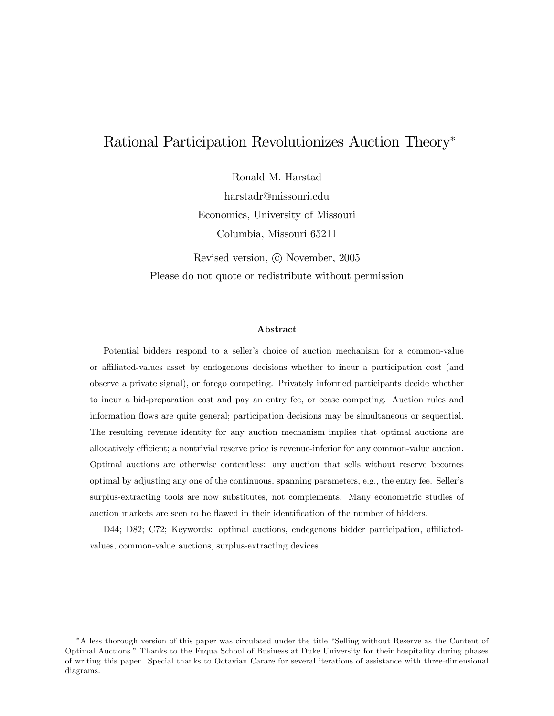# Rational Participation Revolutionizes Auction Theory

Ronald M. Harstad

harstadr@missouri.edu Economics, University of Missouri Columbia, Missouri 65211

Revised version,  $\odot$  November, 2005 Please do not quote or redistribute without permission

#### Abstract

Potential bidders respond to a seller's choice of auction mechanism for a common-value or affiliated-values asset by endogenous decisions whether to incur a participation cost (and observe a private signal), or forego competing. Privately informed participants decide whether to incur a bid-preparation cost and pay an entry fee, or cease competing. Auction rules and information áows are quite general; participation decisions may be simultaneous or sequential. The resulting revenue identity for any auction mechanism implies that optimal auctions are allocatively efficient; a nontrivial reserve price is revenue-inferior for any common-value auction. Optimal auctions are otherwise contentless: any auction that sells without reserve becomes optimal by adjusting any one of the continuous, spanning parameters, e.g., the entry fee. Sellerís surplus-extracting tools are now substitutes, not complements. Many econometric studies of auction markets are seen to be flawed in their identification of the number of bidders.

D44; D82; C72; Keywords: optimal auctions, endegenous bidder participation, affiliatedvalues, common-value auctions, surplus-extracting devices

<sup>\*</sup>A less thorough version of this paper was circulated under the title "Selling without Reserve as the Content of Optimal Auctions.î Thanks to the Fuqua School of Business at Duke University for their hospitality during phases of writing this paper. Special thanks to Octavian Carare for several iterations of assistance with three-dimensional diagrams.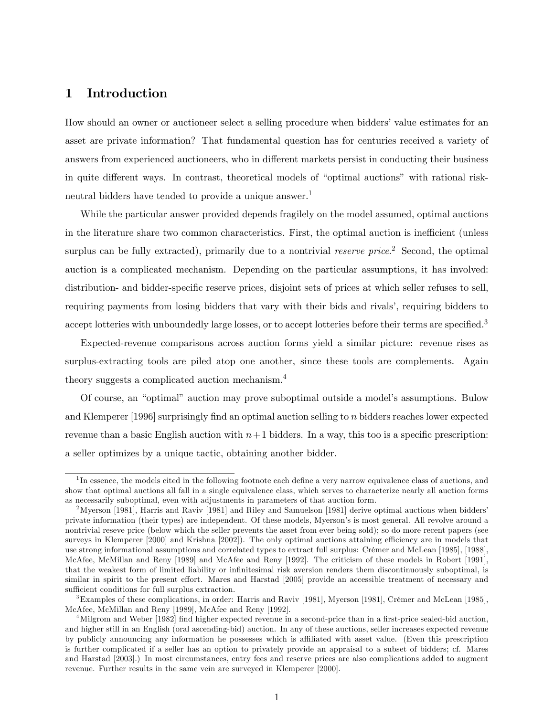## 1 Introduction

How should an owner or auctioneer select a selling procedure when bidders' value estimates for an asset are private information? That fundamental question has for centuries received a variety of answers from experienced auctioneers, who in different markets persist in conducting their business in quite different ways. In contrast, theoretical models of "optimal auctions" with rational riskneutral bidders have tended to provide a unique answer.<sup>1</sup>

While the particular answer provided depends fragilely on the model assumed, optimal auctions in the literature share two common characteristics. First, the optimal auction is inefficient (unless surplus can be fully extracted), primarily due to a nontrivial *reserve price*.<sup>2</sup> Second, the optimal auction is a complicated mechanism. Depending on the particular assumptions, it has involved: distribution- and bidder-specific reserve prices, disjoint sets of prices at which seller refuses to sell, requiring payments from losing bidders that vary with their bids and rivals', requiring bidders to accept lotteries with unboundedly large losses, or to accept lotteries before their terms are specified.<sup>3</sup>

Expected-revenue comparisons across auction forms yield a similar picture: revenue rises as surplus-extracting tools are piled atop one another, since these tools are complements. Again theory suggests a complicated auction mechanism.<sup>4</sup>

Of course, an "optimal" auction may prove suboptimal outside a model's assumptions. Bulow and Klemperer [1996] surprisingly find an optimal auction selling to n bidders reaches lower expected revenue than a basic English auction with  $n+1$  bidders. In a way, this too is a specific prescription: a seller optimizes by a unique tactic, obtaining another bidder.

<sup>&</sup>lt;sup>1</sup>In essence, the models cited in the following footnote each define a very narrow equivalence class of auctions, and show that optimal auctions all fall in a single equivalence class, which serves to characterize nearly all auction forms as necessarily suboptimal, even with adjustments in parameters of that auction form.

<sup>&</sup>lt;sup>2</sup>Myerson [1981], Harris and Raviv [1981] and Riley and Samuelson [1981] derive optimal auctions when bidders<sup>7</sup> private information (their types) are independent. Of these models, Myersonís is most general. All revolve around a nontrivial reseve price (below which the seller prevents the asset from ever being sold); so do more recent papers (see surveys in Klemperer [2000] and Krishna [2002]). The only optimal auctions attaining efficiency are in models that use strong informational assumptions and correlated types to extract full surplus: Crémer and McLean [1985], [1988], McAfee, McMillan and Reny [1989] and McAfee and Reny [1992]. The criticism of these models in Robert [1991], that the weakest form of limited liability or infinitesimal risk aversion renders them discontinuously suboptimal, is similar in spirit to the present effort. Mares and Harstad [2005] provide an accessible treatment of necessary and sufficient conditions for full surplus extraction.

<sup>&</sup>lt;sup>3</sup>Examples of these complications, in order: Harris and Raviv [1981], Myerson [1981], Crémer and McLean [1985], McAfee, McMillan and Reny [1989], McAfee and Reny [1992].

 $^{4}$ Milgrom and Weber [1982] find higher expected revenue in a second-price than in a first-price sealed-bid auction, and higher still in an English (oral ascending-bid) auction. In any of these auctions, seller increases expected revenue by publicly announcing any information he possesses which is a¢ liated with asset value. (Even this prescription is further complicated if a seller has an option to privately provide an appraisal to a subset of bidders; cf. Mares and Harstad [2003].) In most circumstances, entry fees and reserve prices are also complications added to augment revenue. Further results in the same vein are surveyed in Klemperer [2000].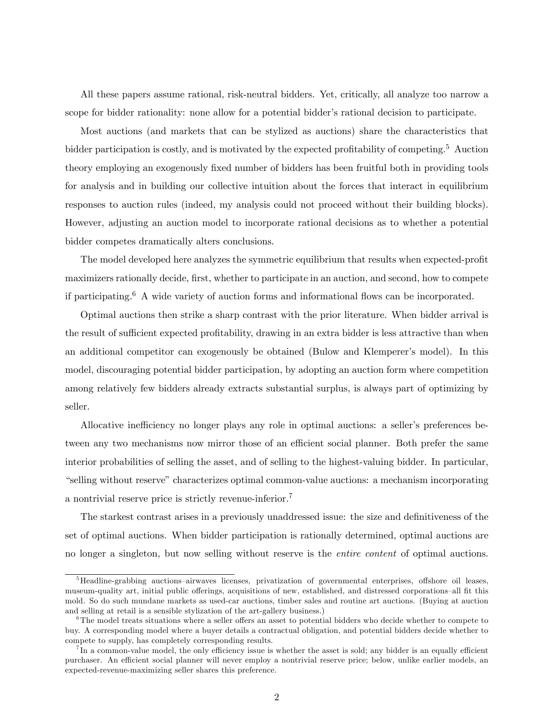All these papers assume rational, risk-neutral bidders. Yet, critically, all analyze too narrow a scope for bidder rationality: none allow for a potential bidder's rational decision to participate.

Most auctions (and markets that can be stylized as auctions) share the characteristics that bidder participation is costly, and is motivated by the expected profitability of competing.<sup>5</sup> Auction theory employing an exogenously fixed number of bidders has been fruitful both in providing tools for analysis and in building our collective intuition about the forces that interact in equilibrium responses to auction rules (indeed, my analysis could not proceed without their building blocks). However, adjusting an auction model to incorporate rational decisions as to whether a potential bidder competes dramatically alters conclusions.

The model developed here analyzes the symmetric equilibrium that results when expected-profit maximizers rationally decide, first, whether to participate in an auction, and second, how to compete if participating.<sup>6</sup> A wide variety of auction forms and informational flows can be incorporated.

Optimal auctions then strike a sharp contrast with the prior literature. When bidder arrival is the result of sufficient expected profitability, drawing in an extra bidder is less attractive than when an additional competitor can exogenously be obtained (Bulow and Klemperer's model). In this model, discouraging potential bidder participation, by adopting an auction form where competition among relatively few bidders already extracts substantial surplus, is always part of optimizing by seller.

Allocative inefficiency no longer plays any role in optimal auctions: a seller's preferences between any two mechanisms now mirror those of an efficient social planner. Both prefer the same interior probabilities of selling the asset, and of selling to the highest-valuing bidder. In particular, ìselling without reserveîcharacterizes optimal common-value auctions: a mechanism incorporating a nontrivial reserve price is strictly revenue-inferior.<sup>7</sup>

The starkest contrast arises in a previously unaddressed issue: the size and definitiveness of the set of optimal auctions. When bidder participation is rationally determined, optimal auctions are no longer a singleton, but now selling without reserve is the entire content of optimal auctions.

<sup>&</sup>lt;sup>5</sup>Headline-grabbing auctions-airwaves licenses, privatization of governmental enterprises, offshore oil leases, museum-quality art, initial public offerings, acquisitions of new, established, and distressed corporations-all fit this mold. So do such mundane markets as used-car auctions, timber sales and routine art auctions. (Buying at auction and selling at retail is a sensible stylization of the art-gallery business.)

 $6$ The model treats situations where a seller offers an asset to potential bidders who decide whether to compete to buy. A corresponding model where a buyer details a contractual obligation, and potential bidders decide whether to compete to supply, has completely corresponding results.

 $^{7}$ In a common-value model, the only efficiency issue is whether the asset is sold; any bidder is an equally efficient purchaser. An efficient social planner will never employ a nontrivial reserve price; below, unlike earlier models, an expected-revenue-maximizing seller shares this preference.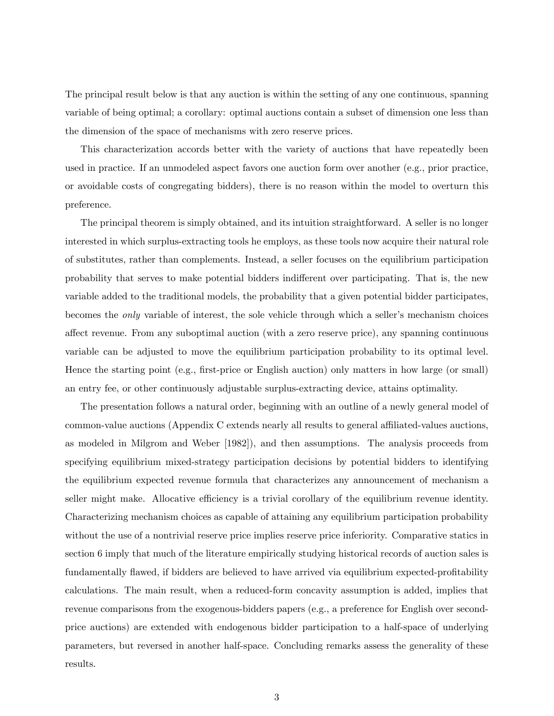The principal result below is that any auction is within the setting of any one continuous, spanning variable of being optimal; a corollary: optimal auctions contain a subset of dimension one less than the dimension of the space of mechanisms with zero reserve prices.

This characterization accords better with the variety of auctions that have repeatedly been used in practice. If an unmodeled aspect favors one auction form over another (e.g., prior practice, or avoidable costs of congregating bidders), there is no reason within the model to overturn this preference.

The principal theorem is simply obtained, and its intuition straightforward. A seller is no longer interested in which surplus-extracting tools he employs, as these tools now acquire their natural role of substitutes, rather than complements. Instead, a seller focuses on the equilibrium participation probability that serves to make potential bidders indi§erent over participating. That is, the new variable added to the traditional models, the probability that a given potential bidder participates, becomes the *only* variable of interest, the sole vehicle through which a seller's mechanism choices affect revenue. From any suboptimal auction (with a zero reserve price), any spanning continuous variable can be adjusted to move the equilibrium participation probability to its optimal level. Hence the starting point (e.g., first-price or English auction) only matters in how large (or small) an entry fee, or other continuously adjustable surplus-extracting device, attains optimality.

The presentation follows a natural order, beginning with an outline of a newly general model of common-value auctions (Appendix C extends nearly all results to general affiliated-values auctions, as modeled in Milgrom and Weber [1982]), and then assumptions. The analysis proceeds from specifying equilibrium mixed-strategy participation decisions by potential bidders to identifying the equilibrium expected revenue formula that characterizes any announcement of mechanism a seller might make. Allocative efficiency is a trivial corollary of the equilibrium revenue identity. Characterizing mechanism choices as capable of attaining any equilibrium participation probability without the use of a nontrivial reserve price implies reserve price inferiority. Comparative statics in section 6 imply that much of the literature empirically studying historical records of auction sales is fundamentally flawed, if bidders are believed to have arrived via equilibrium expected-profitability calculations. The main result, when a reduced-form concavity assumption is added, implies that revenue comparisons from the exogenous-bidders papers (e.g., a preference for English over secondprice auctions) are extended with endogenous bidder participation to a half-space of underlying parameters, but reversed in another half-space. Concluding remarks assess the generality of these results.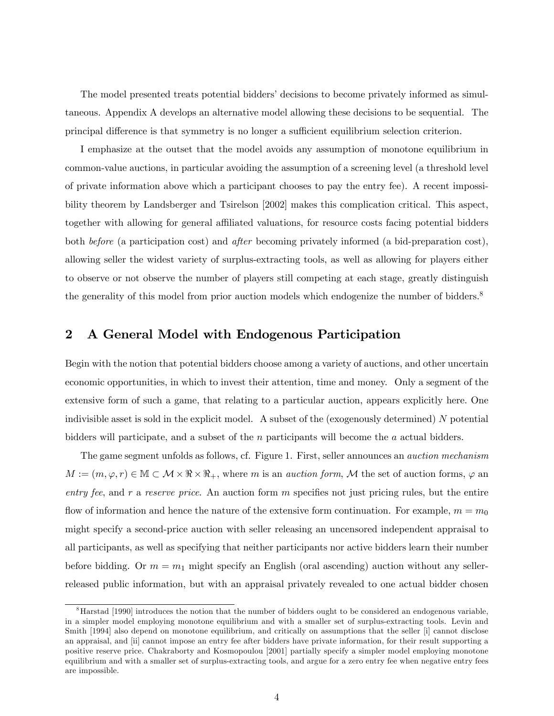The model presented treats potential bidders' decisions to become privately informed as simultaneous. Appendix A develops an alternative model allowing these decisions to be sequential. The principal difference is that symmetry is no longer a sufficient equilibrium selection criterion.

I emphasize at the outset that the model avoids any assumption of monotone equilibrium in common-value auctions, in particular avoiding the assumption of a screening level (a threshold level of private information above which a participant chooses to pay the entry fee). A recent impossibility theorem by Landsberger and Tsirelson [2002] makes this complication critical. This aspect, together with allowing for general affiliated valuations, for resource costs facing potential bidders both before (a participation cost) and after becoming privately informed (a bid-preparation cost), allowing seller the widest variety of surplus-extracting tools, as well as allowing for players either to observe or not observe the number of players still competing at each stage, greatly distinguish the generality of this model from prior auction models which endogenize the number of bidders.<sup>8</sup>

## 2 A General Model with Endogenous Participation

Begin with the notion that potential bidders choose among a variety of auctions, and other uncertain economic opportunities, in which to invest their attention, time and money. Only a segment of the extensive form of such a game, that relating to a particular auction, appears explicitly here. One indivisible asset is sold in the explicit model. A subset of the (exogenously determined) N potential bidders will participate, and a subset of the n participants will become the a actual bidders.

The game segment unfolds as follows, cf. Figure 1. First, seller announces an *auction mechanism*  $M := (m, \varphi, r) \in \mathbb{M} \subset \mathcal{M} \times \Re \times \Re_+,$  where m is an *auction form*,  $\mathcal{M}$  the set of auction forms,  $\varphi$  and entry fee, and  $r$  a reserve price. An auction form  $m$  specifies not just pricing rules, but the entire flow of information and hence the nature of the extensive form continuation. For example,  $m = m_0$ might specify a second-price auction with seller releasing an uncensored independent appraisal to all participants, as well as specifying that neither participants nor active bidders learn their number before bidding. Or  $m = m_1$  might specify an English (oral ascending) auction without any sellerreleased public information, but with an appraisal privately revealed to one actual bidder chosen

<sup>&</sup>lt;sup>8</sup>Harstad [1990] introduces the notion that the number of bidders ought to be considered an endogenous variable, in a simpler model employing monotone equilibrium and with a smaller set of surplus-extracting tools. Levin and Smith [1994] also depend on monotone equilibrium, and critically on assumptions that the seller [i] cannot disclose an appraisal, and [ii] cannot impose an entry fee after bidders have private information, for their result supporting a positive reserve price. Chakraborty and Kosmopoulou [2001] partially specify a simpler model employing monotone equilibrium and with a smaller set of surplus-extracting tools, and argue for a zero entry fee when negative entry fees are impossible.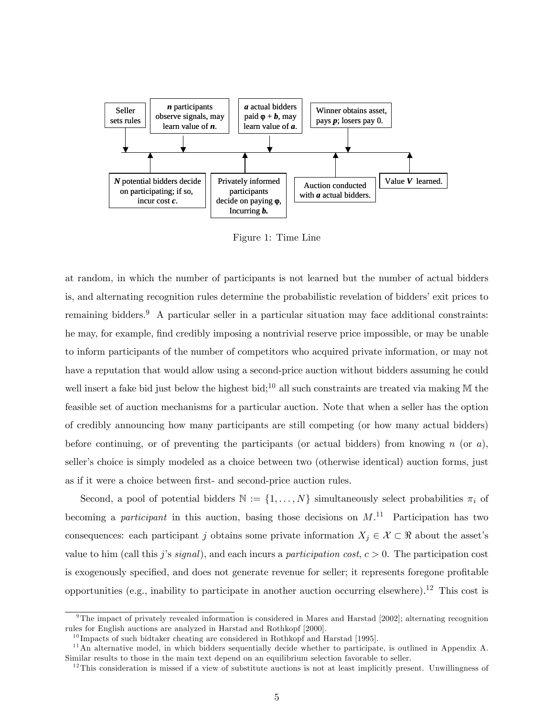

Figure 1: Time Line

at random, in which the number of participants is not learned but the number of actual bidders is, and alternating recognition rules determine the probabilistic revelation of bidders' exit prices to remaining bidders.<sup>9</sup> A particular seller in a particular situation may face additional constraints: he may, for example, find credibly imposing a nontrivial reserve price impossible, or may be unable to inform participants of the number of competitors who acquired private information, or may not have a reputation that would allow using a second-price auction without bidders assuming he could well insert a fake bid just below the highest bid;<sup>10</sup> all such constraints are treated via making  $M$  the feasible set of auction mechanisms for a particular auction. Note that when a seller has the option of credibly announcing how many participants are still competing (or how many actual bidders) before continuing, or of preventing the participants (or actual bidders) from knowing n (or a), seller's choice is simply modeled as a choice between two (otherwise identical) auction forms, just as if it were a choice between first- and second-price auction rules.

Second, a pool of potential bidders  $\mathbb{N} := \{1, \ldots, N\}$  simultaneously select probabilities  $\pi_i$  of becoming a *participant* in this auction, basing those decisions on  $M$ .<sup>11</sup> Participation has two consequences: each participant j obtains some private information  $X_j \in \mathcal{X} \subset \mathbb{R}$  about the asset's value to him (call this j's signal), and each incurs a participation cost,  $c > 0$ . The participation cost is exogenously specified, and does not generate revenue for seller; it represents foregone profitable opportunities (e.g., inability to participate in another auction occurring elsewhere).<sup>12</sup> This cost is

<sup>&</sup>lt;sup>9</sup>The impact of privately revealed information is considered in Mares and Harstad [2002]; alternating recognition rules for English auctions are analyzed in Harstad and Rothkopf [2000].

 $^{10}$ Impacts of such bidtaker cheating are considered in Rothkopf and Harstad [1995].

<sup>&</sup>lt;sup>11</sup>An alternative model, in which bidders sequentially decide whether to participate, is outlined in Appendix A. Similar results to those in the main text depend on an equilibrium selection favorable to seller.

 $12$ This consideration is missed if a view of substitute auctions is not at least implicitly present. Unwillingness of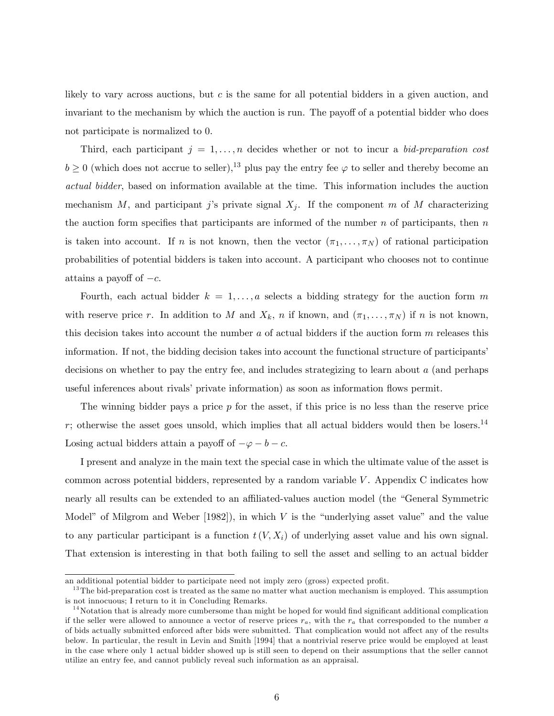likely to vary across auctions, but c is the same for all potential bidders in a given auction, and invariant to the mechanism by which the auction is run. The payoff of a potential bidder who does not participate is normalized to 0.

Third, each participant  $j = 1, \ldots, n$  decides whether or not to incur a bid-preparation cost  $b \ge 0$  (which does not accrue to seller),<sup>13</sup> plus pay the entry fee  $\varphi$  to seller and thereby become an actual bidder, based on information available at the time. This information includes the auction mechanism M, and participant j's private signal  $X_i$ . If the component m of M characterizing the auction form specifies that participants are informed of the number  $n$  of participants, then  $n$ is taken into account. If n is not known, then the vector  $(\pi_1, \ldots, \pi_N)$  of rational participation probabilities of potential bidders is taken into account. A participant who chooses not to continue attains a payoff of  $-c$ .

Fourth, each actual bidder  $k = 1, \ldots, a$  selects a bidding strategy for the auction form m with reserve price r. In addition to M and  $X_k$ , n if known, and  $(\pi_1, \ldots, \pi_N)$  if n is not known, this decision takes into account the number  $a$  of actual bidders if the auction form  $m$  releases this information. If not, the bidding decision takes into account the functional structure of participants' decisions on whether to pay the entry fee, and includes strategizing to learn about a (and perhaps useful inferences about rivals' private information) as soon as information flows permit.

The winning bidder pays a price  $p$  for the asset, if this price is no less than the reserve price  $r$ ; otherwise the asset goes unsold, which implies that all actual bidders would then be losers.<sup>14</sup> Losing actual bidders attain a payoff of  $-\varphi - b - c$ .

I present and analyze in the main text the special case in which the ultimate value of the asset is common across potential bidders, represented by a random variable  $V$ . Appendix C indicates how nearly all results can be extended to an affiliated-values auction model (the "General Symmetric Model" of Milgrom and Weber  $[1982]$ , in which V is the "underlying asset value" and the value to any particular participant is a function  $t(V, X_i)$  of underlying asset value and his own signal. That extension is interesting in that both failing to sell the asset and selling to an actual bidder

an additional potential bidder to participate need not imply zero (gross) expected profit.

 $13$ The bid-preparation cost is treated as the same no matter what auction mechanism is employed. This assumption is not innocuous; I return to it in Concluding Remarks.

 $14$ Notation that is already more cumbersome than might be hoped for would find significant additional complication if the seller were allowed to announce a vector of reserve prices  $r_a$ , with the  $r_a$  that corresponded to the number a of bids actually submitted enforced after bids were submitted. That complication would not affect any of the results below. In particular, the result in Levin and Smith [1994] that a nontrivial reserve price would be employed at least in the case where only 1 actual bidder showed up is still seen to depend on their assumptions that the seller cannot utilize an entry fee, and cannot publicly reveal such information as an appraisal.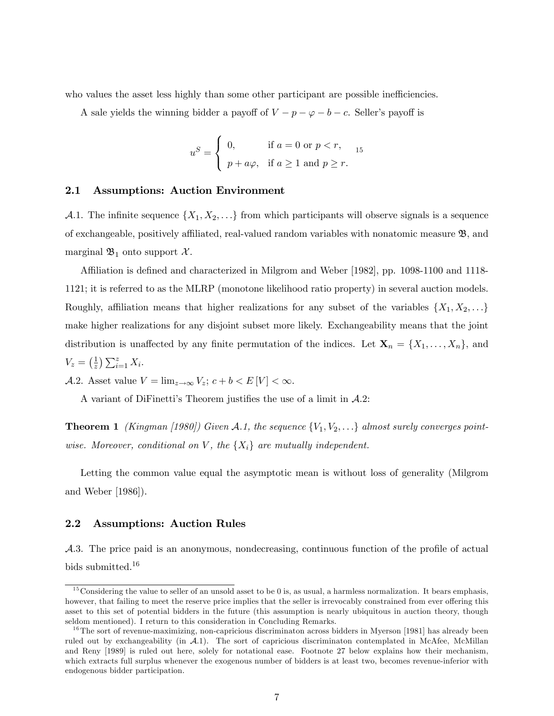who values the asset less highly than some other participant are possible inefficiencies.

A sale yields the winning bidder a payoff of  $V - p - \varphi - b - c$ . Seller's payoff is

$$
uS = \begin{cases} 0, & \text{if } a = 0 \text{ or } p < r, \\ p + a\varphi, & \text{if } a \ge 1 \text{ and } p \ge r. \end{cases}
$$

#### 2.1 Assumptions: Auction Environment

A.1. The infinite sequence  $\{X_1, X_2, \ldots\}$  from which participants will observe signals is a sequence of exchangeable, positively affiliated, real-valued random variables with nonatomic measure  $\mathfrak{B}$ , and marginal  $\mathfrak{B}_1$  onto support  $\mathcal{X}$ .

Affiliation is defined and characterized in Milgrom and Weber [1982], pp. 1098-1100 and 1118-1121; it is referred to as the MLRP (monotone likelihood ratio property) in several auction models. Roughly, affiliation means that higher realizations for any subset of the variables  $\{X_1, X_2, \ldots\}$ make higher realizations for any disjoint subset more likely. Exchangeability means that the joint distribution is unaffected by any finite permutation of the indices. Let  $\mathbf{X}_n = \{X_1, \ldots, X_n\}$ , and  $V_z = \left(\frac{1}{z}\right)$  $\frac{1}{z}$ )  $\sum_{i=1}^{z} X_i$ .

A.2. Asset value  $V = \lim_{z \to \infty} V_z$ ;  $c + b < E|V| < \infty$ .

A variant of DiFinetti's Theorem justifies the use of a limit in  $A.2$ :

**Theorem 1** (Kingman [1980]) Given A.1, the sequence  $\{V_1, V_2, \ldots\}$  almost surely converges pointwise. Moreover, conditional on V, the  $\{X_i\}$  are mutually independent.

Letting the common value equal the asymptotic mean is without loss of generality (Milgrom and Weber [1986]).

#### 2.2 Assumptions: Auction Rules

 $\mathcal{A}.3.$  The price paid is an anonymous, nondecreasing, continuous function of the profile of actual bids submitted.<sup>16</sup>

 $15$ Considering the value to seller of an unsold asset to be 0 is, as usual, a harmless normalization. It bears emphasis, however, that failing to meet the reserve price implies that the seller is irrevocably constrained from ever offering this asset to this set of potential bidders in the future (this assumption is nearly ubiquitous in auction theory, though seldom mentioned). I return to this consideration in Concluding Remarks.

 $16$ The sort of revenue-maximizing, non-capricious discriminaton across bidders in Myerson [1981] has already been ruled out by exchangeability (in  $A.1$ ). The sort of capricious discriminaton contemplated in McAfee, McMillan and Reny [1989] is ruled out here, solely for notational ease. Footnote 27 below explains how their mechanism, which extracts full surplus whenever the exogenous number of bidders is at least two, becomes revenue-inferior with endogenous bidder participation.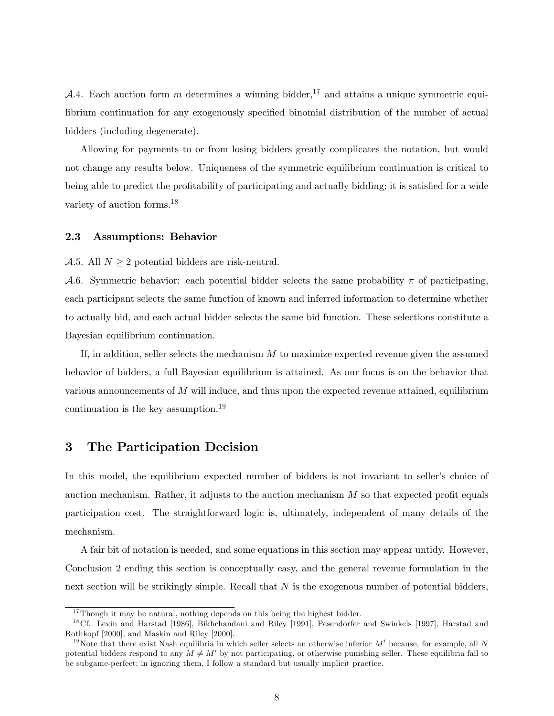A.4. Each auction form m determines a winning bidder,<sup>17</sup> and attains a unique symmetric equilibrium continuation for any exogenously specified binomial distribution of the number of actual bidders (including degenerate).

Allowing for payments to or from losing bidders greatly complicates the notation, but would not change any results below. Uniqueness of the symmetric equilibrium continuation is critical to being able to predict the profitability of participating and actually bidding; it is satisfied for a wide variety of auction forms.<sup>18</sup>

#### 2.3 Assumptions: Behavior

A.5. All  $N \geq 2$  potential bidders are risk-neutral.

A.6. Symmetric behavior: each potential bidder selects the same probability  $\pi$  of participating, each participant selects the same function of known and inferred information to determine whether to actually bid, and each actual bidder selects the same bid function. These selections constitute a Bayesian equilibrium continuation.

If, in addition, seller selects the mechanism  $M$  to maximize expected revenue given the assumed behavior of bidders, a full Bayesian equilibrium is attained. As our focus is on the behavior that various announcements of  $M$  will induce, and thus upon the expected revenue attained, equilibrium continuation is the key assumption.<sup>19</sup>

## 3 The Participation Decision

In this model, the equilibrium expected number of bidders is not invariant to seller's choice of auction mechanism. Rather, it adjusts to the auction mechanism  $M$  so that expected profit equals participation cost. The straightforward logic is, ultimately, independent of many details of the mechanism.

A fair bit of notation is needed, and some equations in this section may appear untidy. However, Conclusion 2 ending this section is conceptually easy, and the general revenue formulation in the next section will be strikingly simple. Recall that  $N$  is the exogenous number of potential bidders,

 $17$ Though it may be natural, nothing depends on this being the highest bidder.

<sup>&</sup>lt;sup>18</sup>Cf. Levin and Harstad [1986], Bikhchandani and Riley [1991], Pesendorfer and Swinkels [1997], Harstad and Rothkopf [2000], and Maskin and Riley [2000].

<sup>&</sup>lt;sup>19</sup>Note that there exist Nash equilibria in which seller selects an otherwise inferior  $M'$  because, for example, all N potential bidders respond to any  $M \neq M'$  by not participating, or otherwise punishing seller. These equilibria fail to be subgame-perfect; in ignoring them, I follow a standard but usually implicit practice.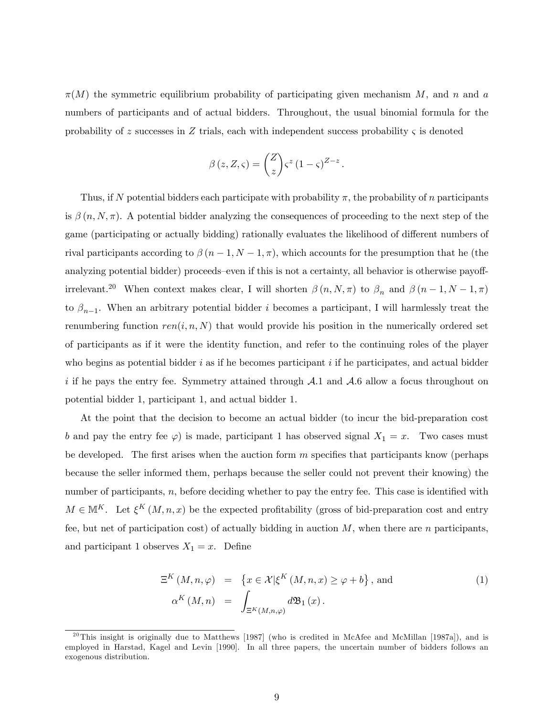$\pi(M)$  the symmetric equilibrium probability of participating given mechanism M, and n and a numbers of participants and of actual bidders. Throughout, the usual binomial formula for the probability of z successes in Z trials, each with independent success probability  $\zeta$  is denoted

$$
\beta(z, Z, \varsigma) = \binom{Z}{z} \varsigma^{z} (1 - \varsigma)^{Z - z}
$$

:

Thus, if N potential bidders each participate with probability  $\pi$ , the probability of n participants is  $\beta(n, N, \pi)$ . A potential bidder analyzing the consequences of proceeding to the next step of the game (participating or actually bidding) rationally evaluates the likelihood of different numbers of rival participants according to  $\beta (n-1, N-1, \pi)$ , which accounts for the presumption that he (the analyzing potential bidder) proceeds–even if this is not a certainty, all behavior is otherwise payoffirrelevant.<sup>20</sup> When context makes clear, I will shorten  $\beta(n, N, \pi)$  to  $\beta_n$  and  $\beta(n-1, N-1, \pi)$ to  $\beta_{n-1}$ . When an arbitrary potential bidder *i* becomes a participant, I will harmlessly treat the renumbering function  $ren(i, n, N)$  that would provide his position in the numerically ordered set of participants as if it were the identity function, and refer to the continuing roles of the player who begins as potential bidder  $i$  as if he becomes participant  $i$  if he participates, and actual bidder i if he pays the entry fee. Symmetry attained through  $A.1$  and  $A.6$  allow a focus throughout on potential bidder 1, participant 1, and actual bidder 1.

At the point that the decision to become an actual bidder (to incur the bid-preparation cost b and pay the entry fee  $\varphi$ ) is made, participant 1 has observed signal  $X_1 = x$ . Two cases must be developed. The first arises when the auction form  $m$  specifies that participants know (perhaps because the seller informed them, perhaps because the seller could not prevent their knowing) the number of participants,  $n$ , before deciding whether to pay the entry fee. This case is identified with  $M \in \mathbb{M}^K$ . Let  $\xi^K(M, n, x)$  be the expected profitability (gross of bid-preparation cost and entry fee, but net of participation cost) of actually bidding in auction  $M$ , when there are n participants, and participant 1 observes  $X_1 = x$ . Define

$$
\Xi^K(M, n, \varphi) = \left\{ x \in \mathcal{X} | \xi^K(M, n, x) \ge \varphi + b \right\}, \text{ and}
$$
\n
$$
\alpha^K(M, n) = \int_{\Xi^K(M, n, \varphi)} d\mathfrak{B}_1(x).
$$
\n(1)

<sup>&</sup>lt;sup>20</sup>This insight is originally due to Matthews [1987] (who is credited in McAfee and McMillan [1987a]), and is employed in Harstad, Kagel and Levin [1990]. In all three papers, the uncertain number of bidders follows an exogenous distribution.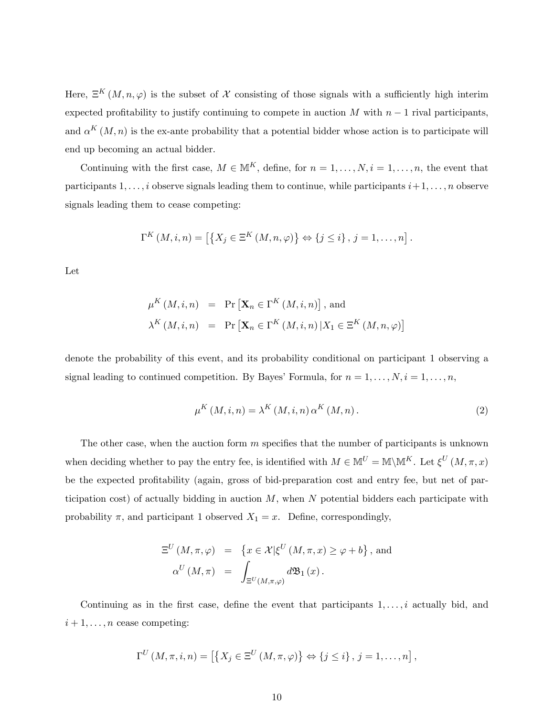Here,  $\Xi^K(M,n,\varphi)$  is the subset of X consisting of those signals with a sufficiently high interim expected profitability to justify continuing to compete in auction  $M$  with  $n-1$  rival participants, and  $\alpha^{K}(M,n)$  is the ex-ante probability that a potential bidder whose action is to participate will end up becoming an actual bidder.

Continuing with the first case,  $M \in \mathbb{M}^K$ , define, for  $n = 1, \ldots, N$ ,  $i = 1, \ldots, n$ , the event that participants  $1, \ldots, i$  observe signals leading them to continue, while participants  $i+1, \ldots, n$  observe signals leading them to cease competing:

$$
\Gamma^K(M, i, n) = \left[ \left\{ X_j \in \Xi^K(M, n, \varphi) \right\} \Leftrightarrow \left\{ j \leq i \right\}, j = 1, \ldots, n \right].
$$

Let

$$
\mu^K(M, i, n) = \Pr\left[\mathbf{X}_n \in \Gamma^K(M, i, n)\right], \text{ and}
$$

$$
\lambda^K(M, i, n) = \Pr\left[\mathbf{X}_n \in \Gamma^K(M, i, n) | X_1 \in \Xi^K(M, n, \varphi)\right]
$$

denote the probability of this event, and its probability conditional on participant 1 observing a signal leading to continued competition. By Bayes' Formula, for  $n = 1, \ldots, N, i = 1, \ldots, n$ ,

$$
\mu^K(M, i, n) = \lambda^K(M, i, n) \alpha^K(M, n).
$$
\n(2)

The other case, when the auction form  $m$  specifies that the number of participants is unknown when deciding whether to pay the entry fee, is identified with  $M \in \mathbb{M}^U = \mathbb{M} \backslash \mathbb{M}^K$ . Let  $\xi^U(M, \pi, x)$ be the expected profitability (again, gross of bid-preparation cost and entry fee, but net of participation cost) of actually bidding in auction  $M$ , when  $N$  potential bidders each participate with probability  $\pi$ , and participant 1 observed  $X_1 = x$ . Define, correspondingly,

$$
\Xi^{U}(M,\pi,\varphi) = \{x \in \mathcal{X} | \xi^{U}(M,\pi,x) \ge \varphi + b\}, \text{ and}
$$
  

$$
\alpha^{U}(M,\pi) = \int_{\Xi^{U}(M,\pi,\varphi)} d\mathfrak{B}_{1}(x).
$$

Continuing as in the first case, define the event that participants  $1, \ldots, i$  actually bid, and  $i+1,\ldots,n$  cease competing:

$$
\Gamma^U(M,\pi,i,n) = \left[ \left\{ X_j \in \Xi^U(M,\pi,\varphi) \right\} \Leftrightarrow \left\{ j \leq i \right\}, j = 1,\ldots,n \right],
$$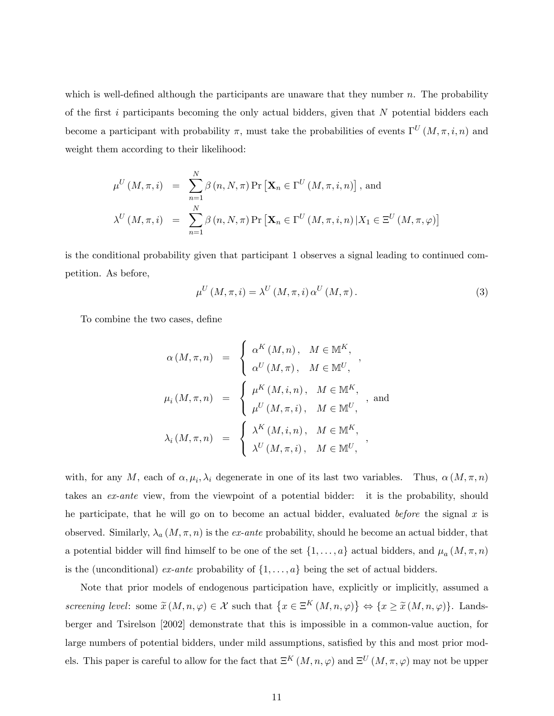which is well-defined although the participants are unaware that they number  $n$ . The probability of the first i participants becoming the only actual bidders, given that  $N$  potential bidders each become a participant with probability  $\pi$ , must take the probabilities of events  $\Gamma^{U}(M,\pi,i,n)$  and weight them according to their likelihood:

$$
\mu^{U}(M,\pi,i) = \sum_{n=1}^{N} \beta(n,N,\pi) \Pr[\mathbf{X}_{n} \in \Gamma^{U}(M,\pi,i,n)], \text{ and}
$$

$$
\lambda^{U}(M,\pi,i) = \sum_{n=1}^{N} \beta(n,N,\pi) \Pr[\mathbf{X}_{n} \in \Gamma^{U}(M,\pi,i,n) | X_{1} \in \Xi^{U}(M,\pi,\varphi)]
$$

is the conditional probability given that participant 1 observes a signal leading to continued competition. As before,

$$
\mu^{U}\left(M,\pi,i\right) = \lambda^{U}\left(M,\pi,i\right)\alpha^{U}\left(M,\pi\right). \tag{3}
$$

To combine the two cases, define

$$
\alpha(M,\pi,n) = \begin{cases}\n\alpha^{K}(M,n), & M \in \mathbb{M}^{K}, \\
\alpha^{U}(M,\pi), & M \in \mathbb{M}^{U},\n\end{cases}
$$
\n
$$
\mu_{i}(M,\pi,n) = \begin{cases}\n\mu^{K}(M,i,n), & M \in \mathbb{M}^{K}, \\
\mu^{U}(M,\pi,i), & M \in \mathbb{M}^{U}, \\
\lambda_{i}(M,\pi,n) = \begin{cases}\n\lambda^{K}(M,i,n), & M \in \mathbb{M}^{K}, \\
\lambda^{U}(M,\pi,i), & M \in \mathbb{M}^{U},\n\end{cases}
$$

with, for any M, each of  $\alpha, \mu_i, \lambda_i$  degenerate in one of its last two variables. Thus,  $\alpha(M, \pi, n)$ takes an *ex-ante* view, from the viewpoint of a potential bidder: it is the probability, should he participate, that he will go on to become an actual bidder, evaluated *before* the signal x is observed. Similarly,  $\lambda_a(M,\pi,n)$  is the ex-ante probability, should he become an actual bidder, that a potential bidder will find himself to be one of the set  $\{1, \ldots, a\}$  actual bidders, and  $\mu_a(M, \pi, n)$ is the (unconditional) ex-ante probability of  $\{1, \ldots, a\}$  being the set of actual bidders.

Note that prior models of endogenous participation have, explicitly or implicitly, assumed a screening level: some  $\widetilde{x}(M,n,\varphi) \in \mathcal{X}$  such that  $\{x \in \Xi^K(M,n,\varphi)\} \Leftrightarrow \{x \geq \widetilde{x}(M,n,\varphi)\}$ . Landsberger and Tsirelson [2002] demonstrate that this is impossible in a common-value auction, for large numbers of potential bidders, under mild assumptions, satisfied by this and most prior models. This paper is careful to allow for the fact that  $\Xi^K(M,n,\varphi)$  and  $\Xi^U(M,\pi,\varphi)$  may not be upper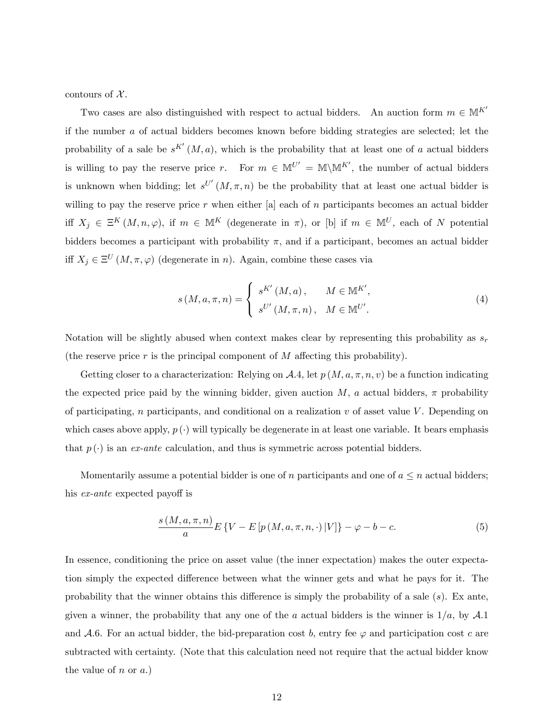contours of  $\mathcal{X}$ .

Two cases are also distinguished with respect to actual bidders. An auction form  $m \in M^{K'}$ if the number a of actual bidders becomes known before bidding strategies are selected; let the probability of a sale be  $s^{K'}(M, a)$ , which is the probability that at least one of a actual bidders is willing to pay the reserve price r. For  $m \in M^{U'} = M \setminus M^{K'}$ , the number of actual bidders is unknown when bidding; let  $s^{U'}(M,\pi,n)$  be the probability that at least one actual bidder is willing to pay the reserve price r when either [a] each of n participants becomes an actual bidder iff  $X_j \in \Xi^K(M,n,\varphi)$ , if  $m \in \mathbb{M}^K$  (degenerate in  $\pi$ ), or [b] if  $m \in \mathbb{M}^U$ , each of N potential bidders becomes a participant with probability  $\pi$ , and if a participant, becomes an actual bidder iff  $X_j \in \Xi^U(M, \pi, \varphi)$  (degenerate in n). Again, combine these cases via

$$
s(M, a, \pi, n) = \begin{cases} s^{K'}(M, a), & M \in \mathbb{M}^{K'}, \\ s^{U'}(M, \pi, n), & M \in \mathbb{M}^{U'} . \end{cases}
$$
(4)

Notation will be slightly abused when context makes clear by representing this probability as  $s_r$ (the reserve price  $r$  is the principal component of  $M$  affecting this probability).

Getting closer to a characterization: Relying on A.4, let  $p(M, a, \pi, n, v)$  be a function indicating the expected price paid by the winning bidder, given auction M, a actual bidders,  $\pi$  probability of participating, n participants, and conditional on a realization  $v$  of asset value V. Depending on which cases above apply,  $p(\cdot)$  will typically be degenerate in at least one variable. It bears emphasis that  $p(\cdot)$  is an ex-ante calculation, and thus is symmetric across potential bidders.

Momentarily assume a potential bidder is one of n participants and one of  $a \leq n$  actual bidders; his  $ex$ -ante expected payoff is

$$
\frac{s\left(M,a,\pi,n\right)}{a}E\left\{V-E\left[p\left(M,a,\pi,n,\cdot\right)|V\right]\right\}-\varphi-b-c.\tag{5}
$$

In essence, conditioning the price on asset value (the inner expectation) makes the outer expectation simply the expected difference between what the winner gets and what he pays for it. The probability that the winner obtains this difference is simply the probability of a sale  $(s)$ . Ex ante, given a winner, the probability that any one of the a actual bidders is the winner is  $1/a$ , by A.1 and A.6. For an actual bidder, the bid-preparation cost b, entry fee  $\varphi$  and participation cost c are subtracted with certainty. (Note that this calculation need not require that the actual bidder know the value of  $n \text{ or } a$ .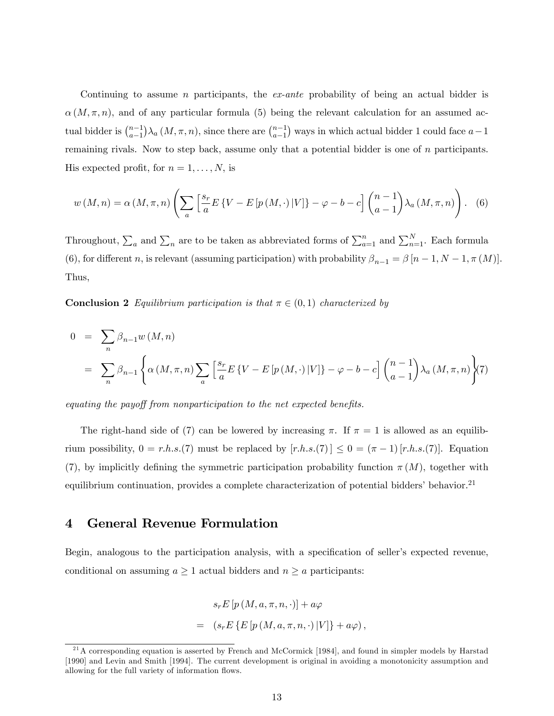Continuing to assume n participants, the  $ex$ -ante probability of being an actual bidder is  $\alpha(M,\pi,n)$ , and of any particular formula (5) being the relevant calculation for an assumed actual bidder is  $\binom{n-1}{a-1}$  $a-1$  $\big) \lambda_a \left( M, \pi, n \right)$ , since there are  $\binom{n-1}{a-1}$  $a-1$ ) ways in which actual bidder 1 could face  $a-1$ remaining rivals. Now to step back, assume only that a potential bidder is one of n participants. His expected profit, for  $n = 1, \ldots, N$ , is

$$
w(M,n) = \alpha(M,\pi,n) \left( \sum_{a} \left[ \frac{s_r}{a} E\left\{V - E\left[p\left(M,\cdot\right)|V\right]\right\} - \varphi - b - c \right] \binom{n-1}{a-1} \lambda_a\left(M,\pi,n\right) \right). \tag{6}
$$

Throughout,  $\sum_a$  and  $\sum_n$  are to be taken as abbreviated forms of  $\sum_{a=1}^n$  and  $\sum_{n=1}^N$ . Each formula (6), for different n, is relevant (assuming participation) with probability  $\beta_{n-1} = \beta [n-1, N-1, \pi (M)].$ Thus,

**Conclusion 2** Equilibrium participation is that  $\pi \in (0,1)$  characterized by

$$
0 = \sum_{n} \beta_{n-1} w(M, n)
$$
  
=  $\sum_{n} \beta_{n-1} \left\{ \alpha(M, \pi, n) \sum_{a} \left[ \frac{s_r}{a} E \{ V - E [p(M, \cdot) | V] \} - \varphi - b - c \right] \binom{n-1}{a-1} \lambda_a(M, \pi, n) \right\}$  (7)

equating the payoff from nonparticipation to the net expected benefits.

The right-hand side of (7) can be lowered by increasing  $\pi$ . If  $\pi = 1$  is allowed as an equilibrium possibility,  $0 = r.h.s.(7)$  must be replaced by  $[r.h.s.(7)] \leq 0 = (\pi - 1) [r.h.s.(7)]$ . Equation (7), by implicitly defining the symmetric participation probability function  $\pi(M)$ , together with equilibrium continuation, provides a complete characterization of potential bidders' behavior.<sup>21</sup>

### 4 General Revenue Formulation

Begin, analogous to the participation analysis, with a specification of seller's expected revenue, conditional on assuming  $a \ge 1$  actual bidders and  $n \ge a$  participants:

$$
s_r E [p (M, a, \pi, n, \cdot)] + a\varphi
$$
  
=  $(s_r E \{E [p (M, a, \pi, n, \cdot) |V]\} + a\varphi),$ 

 $^{21}$ A corresponding equation is asserted by French and McCormick [1984], and found in simpler models by Harstad [1990] and Levin and Smith [1994]. The current development is original in avoiding a monotonicity assumption and allowing for the full variety of information flows.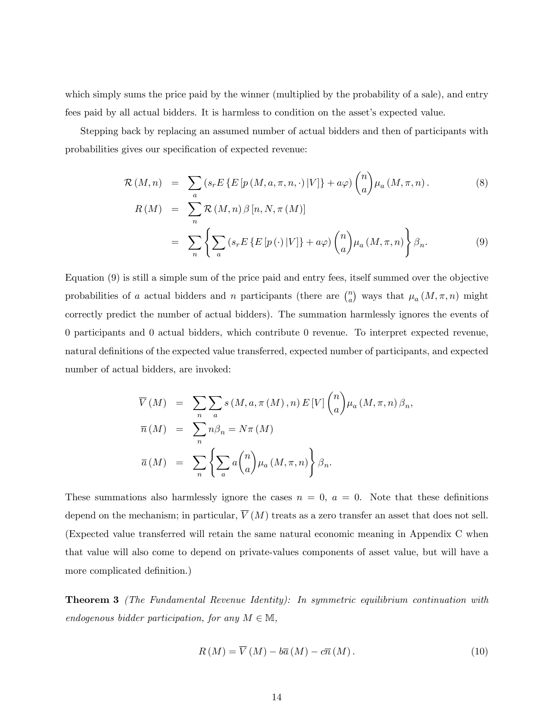which simply sums the price paid by the winner (multiplied by the probability of a sale), and entry fees paid by all actual bidders. It is harmless to condition on the asset's expected value.

Stepping back by replacing an assumed number of actual bidders and then of participants with probabilities gives our specification of expected revenue:

$$
\mathcal{R}(M,n) = \sum_{a} \left( s_r E \left\{ E \left[ p \left( M, a, \pi, n, \cdot \right) | V \right] \right\} + a\varphi \right) {n \choose a} \mu_a(M, \pi, n).
$$
\n(8)\n
$$
R(M) = \sum_{a} \mathcal{R}(M,n) \beta \left[ n, N, \pi(M) \right]
$$

$$
= \sum_{n}^{n} \left\{ \sum_{a} \left( s_r E \left\{ E \left[ p \left( \cdot \right) | V \right] \right\} + a\varphi \right) {n \choose a} \mu_a \left( M, \pi, n \right) \right\} \beta_n. \tag{9}
$$

Equation (9) is still a simple sum of the price paid and entry fees, itself summed over the objective probabilities of a actual bidders and n participants (there are  $\binom{n}{a}$  $\binom{n}{a}$  ways that  $\mu_a(M, \pi, n)$  might correctly predict the number of actual bidders). The summation harmlessly ignores the events of 0 participants and 0 actual bidders, which contribute 0 revenue. To interpret expected revenue, natural definitions of the expected value transferred, expected number of participants, and expected number of actual bidders, are invoked:

$$
\overline{V}(M) = \sum_{n} \sum_{a} s(M, a, \pi(M), n) E[V] \binom{n}{a} \mu_a(M, \pi, n) \beta_n,
$$
  

$$
\overline{n}(M) = \sum_{n} n \beta_n = N\pi(M)
$$
  

$$
\overline{a}(M) = \sum_{n} \left\{ \sum_{a} a \binom{n}{a} \mu_a(M, \pi, n) \right\} \beta_n.
$$

These summations also harmlessly ignore the cases  $n = 0$ ,  $a = 0$ . Note that these definitions depend on the mechanism; in particular,  $\overline{V}(M)$  treats as a zero transfer an asset that does not sell. (Expected value transferred will retain the same natural economic meaning in Appendix C when that value will also come to depend on private-values components of asset value, but will have a more complicated definition.)

**Theorem 3** (The Fundamental Revenue Identity): In symmetric equilibrium continuation with endogenous bidder participation, for any  $M \in \mathbb{M}$ ,

$$
R(M) = \overline{V}(M) - b\overline{a}(M) - c\overline{n}(M). \qquad (10)
$$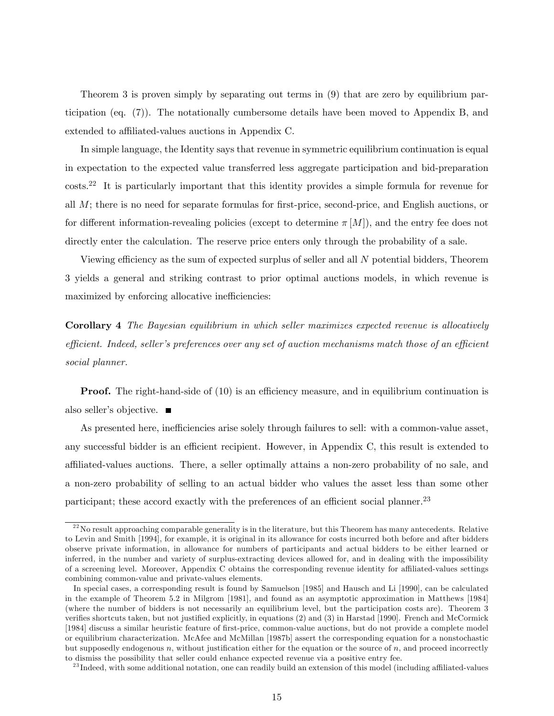Theorem 3 is proven simply by separating out terms in (9) that are zero by equilibrium participation (eq. (7)). The notationally cumbersome details have been moved to Appendix B, and extended to affiliated-values auctions in Appendix C.

In simple language, the Identity says that revenue in symmetric equilibrium continuation is equal in expectation to the expected value transferred less aggregate participation and bid-preparation costs.<sup>22</sup> It is particularly important that this identity provides a simple formula for revenue for all  $M$ ; there is no need for separate formulas for first-price, second-price, and English auctions, or for different information-revealing policies (except to determine  $\pi |M|$ ), and the entry fee does not directly enter the calculation. The reserve price enters only through the probability of a sale.

Viewing efficiency as the sum of expected surplus of seller and all  $N$  potential bidders, Theorem 3 yields a general and striking contrast to prior optimal auctions models, in which revenue is maximized by enforcing allocative inefficiencies:

Corollary 4 The Bayesian equilibrium in which seller maximizes expected revenue is allocatively  $e$ fficient. Indeed, seller's preferences over any set of auction mechanisms match those of an efficient social planner.

**Proof.** The right-hand-side of  $(10)$  is an efficiency measure, and in equilibrium continuation is also seller's objective.  $\blacksquare$ 

As presented here, inefficiencies arise solely through failures to sell: with a common-value asset, any successful bidder is an efficient recipient. However, in Appendix C, this result is extended to a¢ liated-values auctions. There, a seller optimally attains a non-zero probability of no sale, and a non-zero probability of selling to an actual bidder who values the asset less than some other participant; these accord exactly with the preferences of an efficient social planner.<sup>23</sup>

 $^{22}$ No result approaching comparable generality is in the literature, but this Theorem has many antecedents. Relative to Levin and Smith [1994], for example, it is original in its allowance for costs incurred both before and after bidders observe private information, in allowance for numbers of participants and actual bidders to be either learned or inferred, in the number and variety of surplus-extracting devices allowed for, and in dealing with the impossibility of a screening level. Moreover, Appendix C obtains the corresponding revenue identity for affiliated-values settings combining common-value and private-values elements.

In special cases, a corresponding result is found by Samuelson [1985] and Hausch and Li [1990], can be calculated in the example of Theorem 5.2 in Milgrom [1981], and found as an asymptotic approximation in Matthews [1984] (where the number of bidders is not necessarily an equilibrium level, but the participation costs are). Theorem 3 verifies shortcuts taken, but not justified explicitly, in equations  $(2)$  and  $(3)$  in Harstad [1990]. French and McCormick [1984] discuss a similar heuristic feature of first-price, common-value auctions, but do not provide a complete model or equilibrium characterization. McAfee and McMillan [1987b] assert the corresponding equation for a nonstochastic but supposedly endogenous  $n$ , without justification either for the equation or the source of  $n$ , and proceed incorrectly to dismiss the possibility that seller could enhance expected revenue via a positive entry fee.

 $^{23}$ Indeed, with some additional notation, one can readily build an extension of this model (including affiliated-values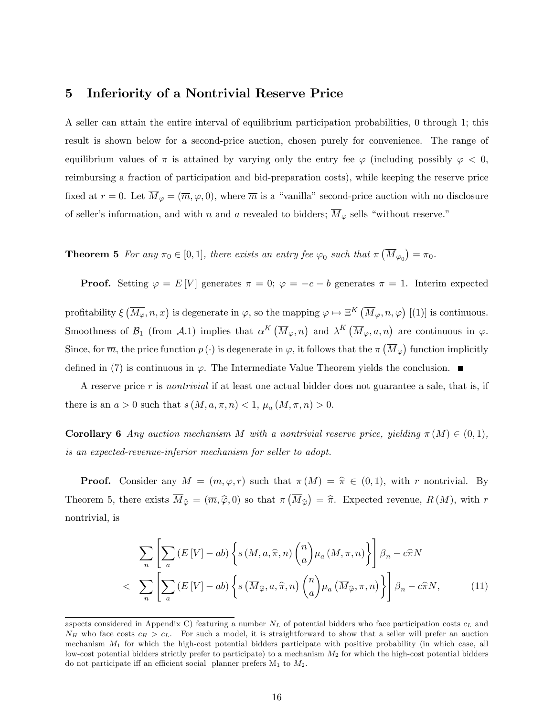## 5 Inferiority of a Nontrivial Reserve Price

A seller can attain the entire interval of equilibrium participation probabilities, 0 through 1; this result is shown below for a second-price auction, chosen purely for convenience. The range of equilibrium values of  $\pi$  is attained by varying only the entry fee  $\varphi$  (including possibly  $\varphi < 0$ , reimbursing a fraction of participation and bid-preparation costs), while keeping the reserve price fixed at  $r = 0$ . Let  $M_{\varphi} = (\overline{m}, \varphi, 0)$ , where  $\overline{m}$  is a "vanilla" second-price auction with no disclosure of seller's information, and with n and a revealed to bidders;  $\overline{M}_{\varphi}$  sells "without reserve."

**Theorem 5** For any  $\pi_0 \in [0, 1]$ , there exists an entry fee  $\varphi_0$  such that  $\pi(\overline{M}_{\varphi_0}) = \pi_0$ .

**Proof.** Setting  $\varphi = E[V]$  generates  $\pi = 0$ ;  $\varphi = -c - b$  generates  $\pi = 1$ . Interim expected

profitability  $\xi(\overline{M_{\varphi}}, n, x)$  is degenerate in  $\varphi$ , so the mapping  $\varphi \mapsto \Xi^{K}(\overline{M}_{\varphi}, n, \varphi)$  [(1)] is continuous. Smoothness of  $\mathcal{B}_1$  (from  $\mathcal{A}.1$ ) implies that  $\alpha^K(\overline{M}_{\varphi}, n)$  and  $\lambda^K(\overline{M}_{\varphi}, a, n)$  are continuous in  $\varphi$ . Since, for  $\overline{m}$ , the price function  $p(\cdot)$  is degenerate in  $\varphi$ , it follows that the  $\pi\left(\overline{M}_{\varphi}\right)$  function implicitly defined in (7) is continuous in  $\varphi$ . The Intermediate Value Theorem yields the conclusion.

A reserve price r is nontrivial if at least one actual bidder does not guarantee a sale, that is, if there is an  $a > 0$  such that  $s(M, a, \pi, n) < 1$ ,  $\mu_a(M, \pi, n) > 0$ .

**Corollary 6** Any auction mechanism M with a nontrivial reserve price, yielding  $\pi(M) \in (0,1)$ , is an expected-revenue-inferior mechanism for seller to adopt.

**Proof.** Consider any  $M = (m, \varphi, r)$  such that  $\pi(M) = \hat{\pi} \in (0, 1)$ , with r nontrivial. By Theorem 5, there exists  $\overline{M}_{\hat{\varphi}} = (\overline{m}, \hat{\varphi}, 0)$  so that  $\pi(\overline{M}_{\hat{\varphi}}) = \hat{\pi}$ . Expected revenue,  $R(M)$ , with r nontrivial, is

$$
\sum_{n} \left[ \sum_{a} \left( E\left[V\right] - ab \right) \left\{ s \left( M, a, \hat{\pi}, n \right) \binom{n}{a} \mu_a \left( M, \pi, n \right) \right\} \right] \beta_n - c \hat{\pi} N
$$
\n
$$
< \sum_{n} \left[ \sum_{a} \left( E\left[V\right] - ab \right) \left\{ s \left( \overline{M}_{\hat{\varphi}}, a, \hat{\pi}, n \right) \binom{n}{a} \mu_a \left( \overline{M}_{\hat{\varphi}}, \pi, n \right) \right\} \right] \beta_n - c \hat{\pi} N, \tag{11}
$$

aspects considered in Appendix C) featuring a number  $N_L$  of potential bidders who face participation costs  $c_L$  and  $N_H$  who face costs  $c_H > c_L$ . For such a model, it is straightforward to show that a seller will prefer an auction mechanism  $M_1$  for which the high-cost potential bidders participate with positive probability (in which case, all low-cost potential bidders strictly prefer to participate) to a mechanism  $M_2$  for which the high-cost potential bidders do not participate iff an efficient social planner prefers  $M_1$  to  $M_2$ .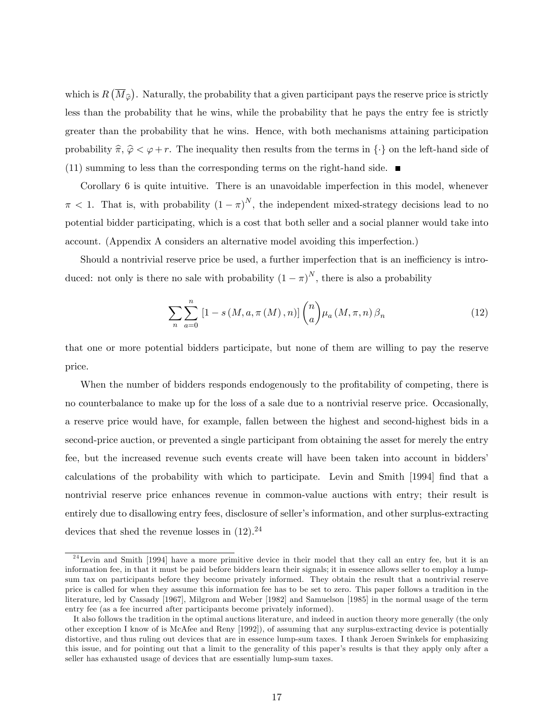which is  $R(\overline{M}_{\widehat{\varphi}})$ . Naturally, the probability that a given participant pays the reserve price is strictly less than the probability that he wins, while the probability that he pays the entry fee is strictly greater than the probability that he wins. Hence, with both mechanisms attaining participation probability  $\hat{\pi}, \hat{\varphi} < \varphi + r$ . The inequality then results from the terms in  $\{\cdot\}$  on the left-hand side of  $(11)$  summing to less than the corresponding terms on the right-hand side.

Corollary 6 is quite intuitive. There is an unavoidable imperfection in this model, whenever  $\pi$  < 1. That is, with probability  $(1 - \pi)^N$ , the independent mixed-strategy decisions lead to no potential bidder participating, which is a cost that both seller and a social planner would take into account. (Appendix A considers an alternative model avoiding this imperfection.)

Should a nontrivial reserve price be used, a further imperfection that is an inefficiency is introduced: not only is there no sale with probability  $(1 - \pi)^N$ , there is also a probability

$$
\sum_{n} \sum_{a=0}^{n} \left[1 - s\left(M, a, \pi\left(M\right), n\right)\right] \binom{n}{a} \mu_a \left(M, \pi, n\right) \beta_n \tag{12}
$$

that one or more potential bidders participate, but none of them are willing to pay the reserve price.

When the number of bidders responds endogenously to the profitability of competing, there is no counterbalance to make up for the loss of a sale due to a nontrivial reserve price. Occasionally, a reserve price would have, for example, fallen between the highest and second-highest bids in a second-price auction, or prevented a single participant from obtaining the asset for merely the entry fee, but the increased revenue such events create will have been taken into account in biddersí calculations of the probability with which to participate. Levin and Smith [1994] find that a nontrivial reserve price enhances revenue in common-value auctions with entry; their result is entirely due to disallowing entry fees, disclosure of seller's information, and other surplus-extracting devices that shed the revenue losses in  $(12).^{24}$ 

 $24$  Levin and Smith [1994] have a more primitive device in their model that they call an entry fee, but it is an information fee, in that it must be paid before bidders learn their signals; it in essence allows seller to employ a lumpsum tax on participants before they become privately informed. They obtain the result that a nontrivial reserve price is called for when they assume this information fee has to be set to zero. This paper follows a tradition in the literature, led by Cassady [1967], Milgrom and Weber [1982] and Samuelson [1985] in the normal usage of the term entry fee (as a fee incurred after participants become privately informed).

It also follows the tradition in the optimal auctions literature, and indeed in auction theory more generally (the only other exception I know of is McAfee and Reny [1992]), of assuming that any surplus-extracting device is potentially distortive, and thus ruling out devices that are in essence lump-sum taxes. I thank Jeroen Swinkels for emphasizing this issue, and for pointing out that a limit to the generality of this paperís results is that they apply only after a seller has exhausted usage of devices that are essentially lump-sum taxes.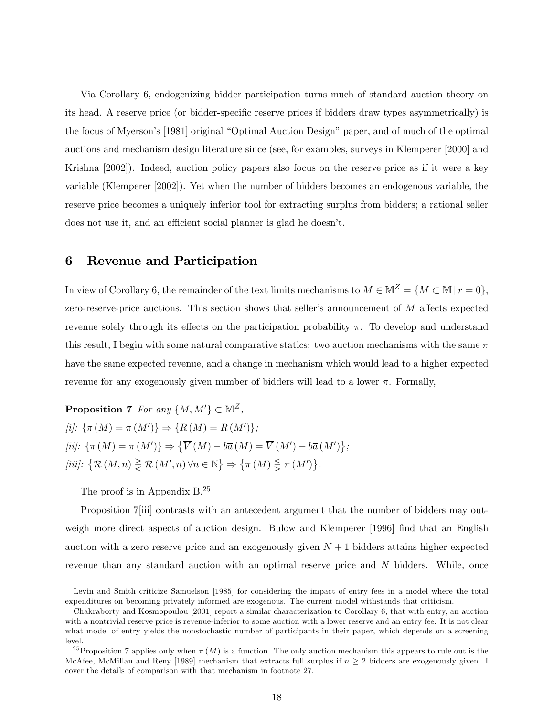Via Corollary 6, endogenizing bidder participation turns much of standard auction theory on its head. A reserve price (or bidder-specific reserve prices if bidders draw types asymmetrically) is the focus of Myerson's [1981] original "Optimal Auction Design" paper, and of much of the optimal auctions and mechanism design literature since (see, for examples, surveys in Klemperer [2000] and Krishna [2002]). Indeed, auction policy papers also focus on the reserve price as if it were a key variable (Klemperer [2002]). Yet when the number of bidders becomes an endogenous variable, the reserve price becomes a uniquely inferior tool for extracting surplus from bidders; a rational seller does not use it, and an efficient social planner is glad he doesn't.

### 6 Revenue and Participation

In view of Corollary 6, the remainder of the text limits mechanisms to  $M \in \mathbb{M}^Z = \{M \subset \mathbb{M} \mid r = 0\},\$ zero-reserve-price auctions. This section shows that seller's announcement of  $M$  affects expected revenue solely through its effects on the participation probability  $\pi$ . To develop and understand this result, I begin with some natural comparative statics: two auction mechanisms with the same  $\pi$ have the same expected revenue, and a change in mechanism which would lead to a higher expected revenue for any exogenously given number of bidders will lead to a lower  $\pi$ . Formally,

**Proposition 7** For any  $\{M, M'\} \subset \mathbb{M}^Z$ ,  $[i]: \{\pi (M) = \pi (M')\} \Rightarrow \{R (M) = R (M')\};$ [ii]:  $\{\pi(M) = \pi(M')\} \Rightarrow \{\overline{V}(M) - b\overline{a}(M) = \overline{V}(M') - b\overline{a}(M')\};$ [iii]:  $\{\mathcal{R}(M,n) \geq \mathcal{R}(M',n) \forall n \in \mathbb{N}\}\Rightarrow \{\pi(M) \leq \pi(M')\}.$ 

The proof is in Appendix B.<sup>25</sup>

Proposition 7 iii) contrasts with an antecedent argument that the number of bidders may outweigh more direct aspects of auction design. Bulow and Klemperer [1996] find that an English auction with a zero reserve price and an exogenously given  $N + 1$  bidders attains higher expected revenue than any standard auction with an optimal reserve price and N bidders. While, once

Levin and Smith criticize Samuelson [1985] for considering the impact of entry fees in a model where the total expenditures on becoming privately informed are exogenous. The current model withstands that criticism.

Chakraborty and Kosmopoulou [2001] report a similar characterization to Corollary 6, that with entry, an auction with a nontrivial reserve price is revenue-inferior to some auction with a lower reserve and an entry fee. It is not clear what model of entry yields the nonstochastic number of participants in their paper, which depends on a screening level.

<sup>&</sup>lt;sup>25</sup> Proposition 7 applies only when  $\pi(M)$  is a function. The only auction mechanism this appears to rule out is the McAfee, McMillan and Reny [1989] mechanism that extracts full surplus if  $n \geq 2$  bidders are exogenously given. I cover the details of comparison with that mechanism in footnote 27.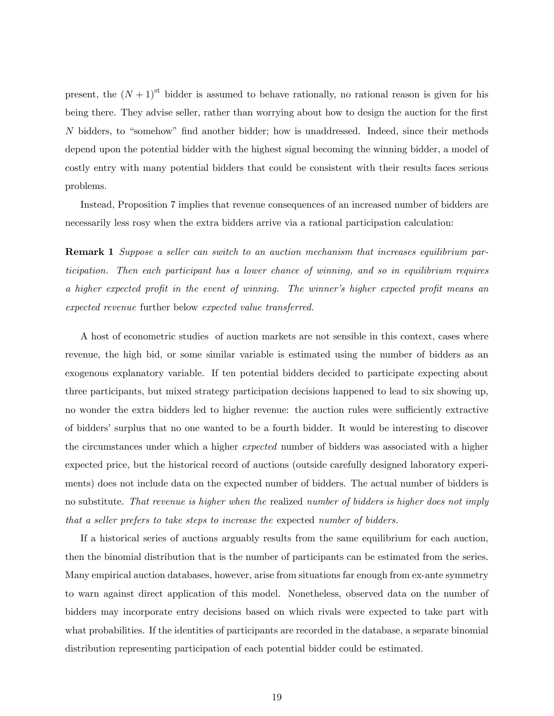present, the  $(N + 1)$ <sup>st</sup> bidder is assumed to behave rationally, no rational reason is given for his being there. They advise seller, rather than worrying about how to design the auction for the first  $N$  bidders, to "somehow" find another bidder; how is unaddressed. Indeed, since their methods depend upon the potential bidder with the highest signal becoming the winning bidder, a model of costly entry with many potential bidders that could be consistent with their results faces serious problems.

Instead, Proposition 7 implies that revenue consequences of an increased number of bidders are necessarily less rosy when the extra bidders arrive via a rational participation calculation:

**Remark 1** Suppose a seller can switch to an auction mechanism that increases equilibrium participation. Then each participant has a lower chance of winning, and so in equilibrium requires a higher expected profit in the event of winning. The winner's higher expected profit means an expected revenue further below expected value transferred.

A host of econometric studies of auction markets are not sensible in this context, cases where revenue, the high bid, or some similar variable is estimated using the number of bidders as an exogenous explanatory variable. If ten potential bidders decided to participate expecting about three participants, but mixed strategy participation decisions happened to lead to six showing up, no wonder the extra bidders led to higher revenue: the auction rules were sufficiently extractive of biddersísurplus that no one wanted to be a fourth bidder. It would be interesting to discover the circumstances under which a higher expected number of bidders was associated with a higher expected price, but the historical record of auctions (outside carefully designed laboratory experiments) does not include data on the expected number of bidders. The actual number of bidders is no substitute. That revenue is higher when the realized number of bidders is higher does not imply that a seller prefers to take steps to increase the expected number of bidders.

If a historical series of auctions arguably results from the same equilibrium for each auction, then the binomial distribution that is the number of participants can be estimated from the series. Many empirical auction databases, however, arise from situations far enough from ex-ante symmetry to warn against direct application of this model. Nonetheless, observed data on the number of bidders may incorporate entry decisions based on which rivals were expected to take part with what probabilities. If the identities of participants are recorded in the database, a separate binomial distribution representing participation of each potential bidder could be estimated.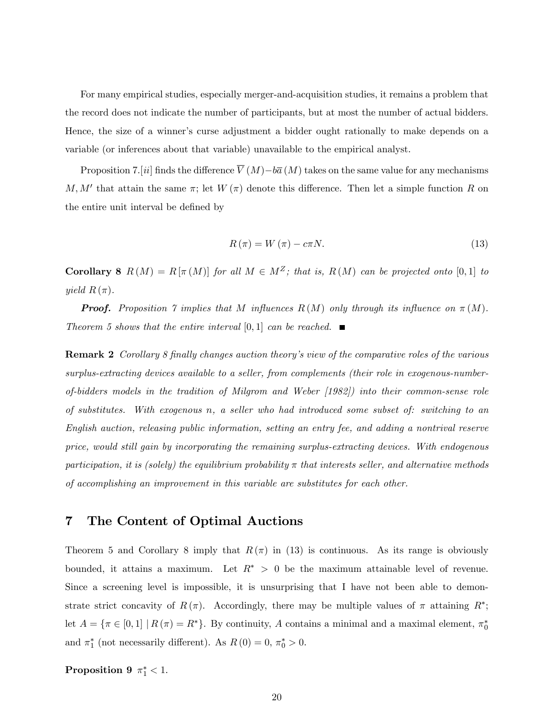For many empirical studies, especially merger-and-acquisition studies, it remains a problem that the record does not indicate the number of participants, but at most the number of actual bidders. Hence, the size of a winner's curse adjustment a bidder ought rationally to make depends on a variable (or inferences about that variable) unavailable to the empirical analyst.

Proposition 7.[ii] finds the difference  $\overline{V}(M)-b\overline{a}(M)$  takes on the same value for any mechanisms M, M' that attain the same  $\pi$ ; let  $W(\pi)$  denote this difference. Then let a simple function R on the entire unit interval be defined by

$$
R(\pi) = W(\pi) - c\pi N.
$$
\n(13)

Corollary 8  $R(M) = R[\pi(M)]$  for all  $M \in M^Z$ ; that is,  $R(M)$  can be projected onto [0,1] to yield  $R(\pi)$ .

**Proof.** Proposition 7 implies that M influences  $R(M)$  only through its influence on  $\pi(M)$ . Theorem 5 shows that the entire interval [0, 1] can be reached.  $\blacksquare$ 

**Remark 2** Corollary 8 finally changes auction theory's view of the comparative roles of the various surplus-extracting devices available to a seller, from complements (their role in exogenous-numberof-bidders models in the tradition of Milgrom and Weber [1982]) into their common-sense role of substitutes. With exogenous n, a seller who had introduced some subset of: switching to an English auction, releasing public information, setting an entry fee, and adding a nontrival reserve price, would still gain by incorporating the remaining surplus-extracting devices. With endogenous participation, it is (solely) the equilibrium probability  $\pi$  that interests seller, and alternative methods of accomplishing an improvement in this variable are substitutes for each other.

## 7 The Content of Optimal Auctions

Theorem 5 and Corollary 8 imply that  $R(\pi)$  in (13) is continuous. As its range is obviously bounded, it attains a maximum. Let  $R^* > 0$  be the maximum attainable level of revenue. Since a screening level is impossible, it is unsurprising that I have not been able to demonstrate strict concavity of  $R(\pi)$ . Accordingly, there may be multiple values of  $\pi$  attaining  $R^*$ ; let  $A = \{ \pi \in [0, 1] \mid R(\pi) = R^* \}.$  By continuity, A contains a minimal and a maximal element,  $\pi_0^*$ and  $\pi_1^*$  (not necessarily different). As  $R(0) = 0$ ,  $\pi_0^* > 0$ .

Proposition 9  $\pi_1^*$  < 1.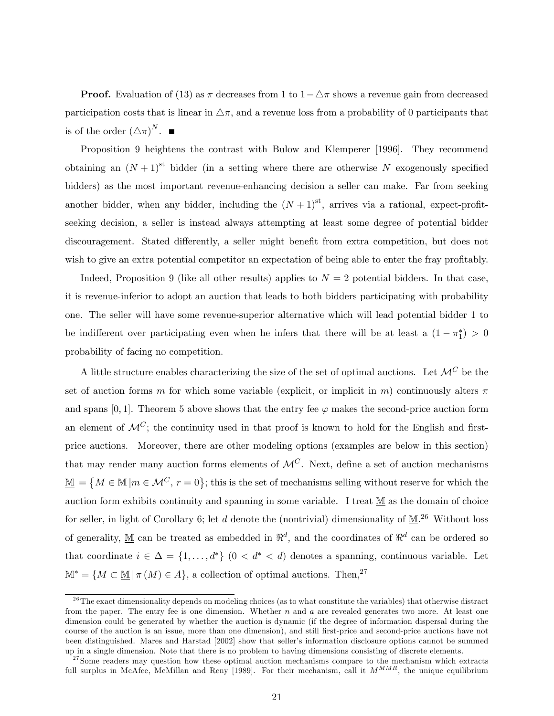**Proof.** Evaluation of (13) as  $\pi$  decreases from 1 to  $1 - \Delta \pi$  shows a revenue gain from decreased participation costs that is linear in  $\Delta \pi$ , and a revenue loss from a probability of 0 participants that is of the order  $(\triangle \pi)^N$ .

Proposition 9 heightens the contrast with Bulow and Klemperer [1996]. They recommend obtaining an  $(N+1)$ <sup>st</sup> bidder (in a setting where there are otherwise N exogenously specified bidders) as the most important revenue-enhancing decision a seller can make. Far from seeking another bidder, when any bidder, including the  $(N+1)$ <sup>st</sup>, arrives via a rational, expect-profitseeking decision, a seller is instead always attempting at least some degree of potential bidder discouragement. Stated differently, a seller might benefit from extra competition, but does not wish to give an extra potential competitor an expectation of being able to enter the fray profitably.

Indeed, Proposition 9 (like all other results) applies to  $N = 2$  potential bidders. In that case, it is revenue-inferior to adopt an auction that leads to both bidders participating with probability one. The seller will have some revenue-superior alternative which will lead potential bidder 1 to be indifferent over participating even when he infers that there will be at least a  $(1 - \pi_1^*) > 0$ probability of facing no competition.

A little structure enables characterizing the size of the set of optimal auctions. Let  $\mathcal{M}^C$  be the set of auction forms m for which some variable (explicit, or implicit in m) continuously alters  $\pi$ and spans [0, 1]. Theorem 5 above shows that the entry fee  $\varphi$  makes the second-price auction form an element of  $\mathcal{M}^C$ ; the continuity used in that proof is known to hold for the English and firstprice auctions. Moreover, there are other modeling options (examples are below in this section) that may render many auction forms elements of  $\mathcal{M}^C$ . Next, define a set of auction mechanisms  $\underline{\mathbb{M}} = \{ M \in \mathbb{M} | m \in \mathcal{M}^C, r = 0 \};$  this is the set of mechanisms selling without reserve for which the auction form exhibits continuity and spanning in some variable. I treat  $M$  as the domain of choice for seller, in light of Corollary 6; let d denote the (nontrivial) dimensionality of  $\underline{\mathbb{M}}$ .<sup>26</sup> Without loss of generality,  $\underline{\mathbb{M}}$  can be treated as embedded in  $\mathbb{R}^d$ , and the coordinates of  $\mathbb{R}^d$  can be ordered so that coordinate  $i \in \Delta = \{1, ..., d^*\}$   $(0 < d^* < d)$  denotes a spanning, continuous variable. Let  $\mathbb{M}^* = \{M \subset \mathbb{M} \mid \pi(M) \in A\}$ , a collection of optimal auctions. Then,<sup>27</sup>

 $26$ The exact dimensionality depends on modeling choices (as to what constitute the variables) that otherwise distract from the paper. The entry fee is one dimension. Whether  $n$  and  $a$  are revealed generates two more. At least one dimension could be generated by whether the auction is dynamic (if the degree of information dispersal during the course of the auction is an issue, more than one dimension), and still first-price and second-price auctions have not been distinguished. Mares and Harstad [2002] show that seller's information disclosure options cannot be summed up in a single dimension. Note that there is no problem to having dimensions consisting of discrete elements.

 $27$  Some readers may question how these optimal auction mechanisms compare to the mechanism which extracts full surplus in McAfee, McMillan and Reny [1989]. For their mechanism, call it  $M^{MMR}$ , the unique equilibrium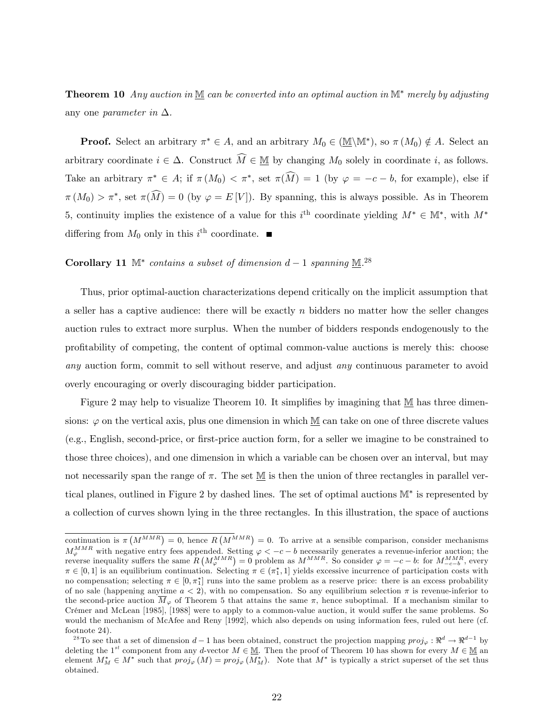**Theorem 10** Any auction in  $M$  can be converted into an optimal auction in  $M^*$  merely by adjusting any one parameter in  $\Delta$ .

**Proof.** Select an arbitrary  $\pi^* \in A$ , and an arbitrary  $M_0 \in (\underline{\mathbb{M}}\backslash \mathbb{M}^*)$ , so  $\pi(M_0) \notin A$ . Select an arbitrary coordinate  $i \in \Delta$ . Construct  $\widehat{M} \in M$  by changing  $M_0$  solely in coordinate i, as follows. Take an arbitrary  $\pi^* \in A$ ; if  $\pi(M_0) < \pi^*$ , set  $\pi(M) = 1$  (by  $\varphi = -c - b$ , for example), else if  $\pi(M_0) > \pi^*$ , set  $\pi(M) = 0$  (by  $\varphi = E[V]$ ). By spanning, this is always possible. As in Theorem 5, continuity implies the existence of a value for this  $i^{\text{th}}$  coordinate yielding  $M^* \in M^*$ , with  $M^*$ differing from  $M_0$  only in this  $i^{\text{th}}$  coordinate.

# **Corollary 11**  $M^*$  contains a subset of dimension  $d-1$  spanning  $M^{28}$ .

Thus, prior optimal-auction characterizations depend critically on the implicit assumption that a seller has a captive audience: there will be exactly  $n$  bidders no matter how the seller changes auction rules to extract more surplus. When the number of bidders responds endogenously to the profitability of competing, the content of optimal common-value auctions is merely this: choose any auction form, commit to sell without reserve, and adjust any continuous parameter to avoid overly encouraging or overly discouraging bidder participation.

Figure 2 may help to visualize Theorem 10. It simplifies by imagining that  $M$  has three dimensions:  $\varphi$  on the vertical axis, plus one dimension in which M can take on one of three discrete values (e.g., English, second-price, or Örst-price auction form, for a seller we imagine to be constrained to those three choices), and one dimension in which a variable can be chosen over an interval, but may not necessarily span the range of  $\pi$ . The set  $M$  is then the union of three rectangles in parallel vertical planes, outlined in Figure 2 by dashed lines. The set of optimal auctions  $\mathbb{M}^*$  is represented by a collection of curves shown lying in the three rectangles. In this illustration, the space of auctions

continuation is  $\pi\left(M^{MMR}\right) = 0$ , hence  $R\left(M^{MMR}\right) = 0$ . To arrive at a sensible comparison, consider mechanisms  $M_{\varphi}^{MMR}$  with negative entry fees appended. Setting  $\varphi < -c-b$  necessarily generates a revenue-inferior auction; the reverse inequality suffers the same  $R\left(M_{\varphi}^{MMR}\right) = 0$  problem as  $M^{MMR}$ . So consider  $\varphi = -c-b$ : f  $\pi \in [0,1]$  is an equilibrium continuation. Selecting  $\pi \in (\pi_1^*, 1]$  yields excessive incurrence of participation costs with no compensation; selecting  $\pi \in [0, \pi_1^*]$  runs into the same problem as a reserve price: there is an excess probability of no sale (happening anytime  $a < 2$ ), with no compensation. So any equilibrium selection  $\pi$  is revenue-inferior to the second-price auction  $\overline{M}_{\varphi}$  of Theorem 5 that attains the same  $\pi$ , hence suboptimal. If a mechanism similar to Crémer and McLean [1985], [1988] were to apply to a common-value auction, it would suffer the same problems. So would the mechanism of McAfee and Reny [1992], which also depends on using information fees, ruled out here (cf. footnote 24).

<sup>&</sup>lt;sup>28</sup>To see that a set of dimension  $d-1$  has been obtained, construct the projection mapping  $proj_{\varphi}: \Re^d \to \Re^{d-1}$  by deleting the 1<sup>st</sup> component from any d-vector  $M \in \mathcal{M}$ . Then the proof of Theorem 10 has shown for every  $M \in \mathcal{M}$  an element  $M_M^* \in M^*$  such that  $proj_{\varphi}(M) = proj_{\varphi}(M_M^*)$ . Note that  $M^*$  is typically a strict superset of the set thus obtained.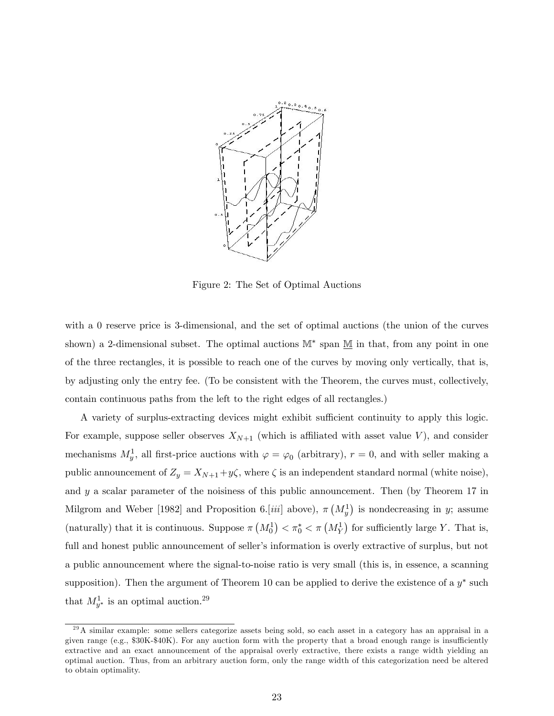

Figure 2: The Set of Optimal Auctions

with a 0 reserve price is 3-dimensional, and the set of optimal auctions (the union of the curves shown) a 2-dimensional subset. The optimal auctions  $\mathbb{M}^*$  span  $\underline{\mathbb{M}}$  in that, from any point in one of the three rectangles, it is possible to reach one of the curves by moving only vertically, that is, by adjusting only the entry fee. (To be consistent with the Theorem, the curves must, collectively, contain continuous paths from the left to the right edges of all rectangles.)

A variety of surplus-extracting devices might exhibit sufficient continuity to apply this logic. For example, suppose seller observes  $X_{N+1}$  (which is affiliated with asset value V), and consider mechanisms  $M_y^1$ , all first-price auctions with  $\varphi = \varphi_0$  (arbitrary),  $r = 0$ , and with seller making a public announcement of  $Z_y = X_{N+1} + y\zeta$ , where  $\zeta$  is an independent standard normal (white noise), and  $y$  a scalar parameter of the noisiness of this public announcement. Then (by Theorem 17 in Milgrom and Weber [1982] and Proposition 6.[*iii*] above),  $\pi (M_y^1)$  is nondecreasing in y; assume (naturally) that it is continuous. Suppose  $\pi (M_0^1) < \pi_0^* < \pi (M_Y^1)$  for sufficiently large Y. That is, full and honest public announcement of seller's information is overly extractive of surplus, but not a public announcement where the signal-to-noise ratio is very small (this is, in essence, a scanning supposition). Then the argument of Theorem 10 can be applied to derive the existence of a  $y^*$  such that  $M_{y^*}^1$  is an optimal auction.<sup>29</sup>

 $^{29}$ A similar example: some sellers categorize assets being sold, so each asset in a category has an appraisal in a given range (e.g.,  $$30K-$40K$ ). For any auction form with the property that a broad enough range is insufficiently extractive and an exact announcement of the appraisal overly extractive, there exists a range width yielding an optimal auction. Thus, from an arbitrary auction form, only the range width of this categorization need be altered to obtain optimality.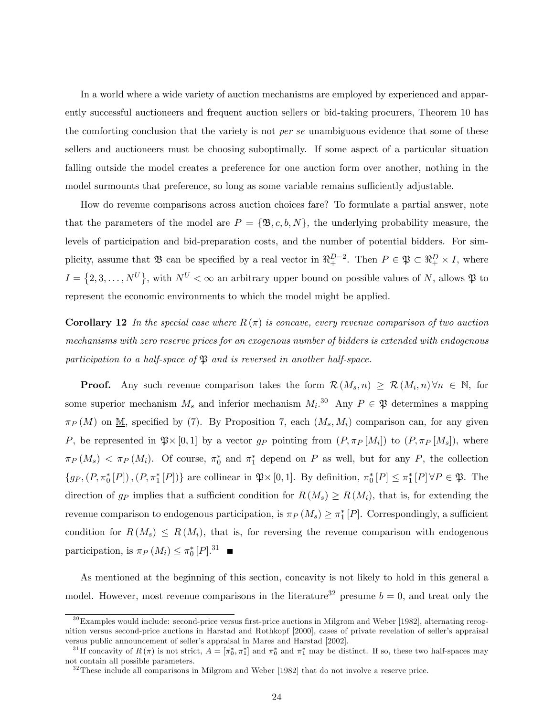In a world where a wide variety of auction mechanisms are employed by experienced and apparently successful auctioneers and frequent auction sellers or bid-taking procurers, Theorem 10 has the comforting conclusion that the variety is not *per se* unambiguous evidence that some of these sellers and auctioneers must be choosing suboptimally. If some aspect of a particular situation falling outside the model creates a preference for one auction form over another, nothing in the model surmounts that preference, so long as some variable remains sufficiently adjustable.

How do revenue comparisons across auction choices fare? To formulate a partial answer, note that the parameters of the model are  $P = {\mathfrak{B}, c, b, N}$ , the underlying probability measure, the levels of participation and bid-preparation costs, and the number of potential bidders. For simplicity, assume that  $\mathfrak{B}$  can be specified by a real vector in  $\mathfrak{R}^{D-2}_+$ . Then  $P \in \mathfrak{P} \subset \mathfrak{R}^D_+ \times I$ , where  $I = \{2, 3, ..., N^U\}$ , with  $N^U < \infty$  an arbitrary upper bound on possible values of N, allows  $\mathfrak{P}$  to represent the economic environments to which the model might be applied.

**Corollary 12** In the special case where  $R(\pi)$  is concave, every revenue comparison of two auction mechanisms with zero reserve prices for an exogenous number of bidders is extended with endogenous participation to a half-space of  $\mathfrak{B}$  and is reversed in another half-space.

**Proof.** Any such revenue comparison takes the form  $\mathcal{R}(M_s, n) \geq \mathcal{R}(M_i, n)$   $\forall n \in \mathbb{N}$ , for some superior mechanism  $M_s$  and inferior mechanism  $M_i$ <sup>30</sup> Any  $P \in \mathfrak{P}$  determines a mapping  $\pi_P(M)$  on M, specified by (7). By Proposition 7, each  $(M_s, M_i)$  comparison can, for any given P, be represented in  $\mathfrak{P} \times [0,1]$  by a vector  $g_P$  pointing from  $(P, \pi_P [M_i])$  to  $(P, \pi_P [M_s])$ , where  $\pi_P(M_s) < \pi_P(M_i)$ . Of course,  $\pi_0^*$  and  $\pi_1^*$  depend on P as well, but for any P, the collection  $\{gp, (P, \pi_0^*[P]), (P, \pi_1^*[P])\}$  are collinear in  $\mathfrak{P}\times[0,1]$ . By definition,  $\pi_0^*[P] \leq \pi_1^*[P]\forall P \in \mathfrak{P}$ . The direction of  $g_P$  implies that a sufficient condition for  $R(M_s) \ge R(M_i)$ , that is, for extending the revenue comparison to endogenous participation, is  $\pi_P (M_s) \geq \pi_1^*[P]$ . Correspondingly, a sufficient condition for  $R(M_s) \leq R(M_i)$ , that is, for reversing the revenue comparison with endogenous participation, is  $\pi_P (M_i) \leq \pi_0^* [P].^{31}$ 

As mentioned at the beginning of this section, concavity is not likely to hold in this general a model. However, most revenue comparisons in the literature<sup>32</sup> presume  $b = 0$ , and treat only the

 $30$  Examples would include: second-price versus first-price auctions in Milgrom and Weber [1982], alternating recognition versus second-price auctions in Harstad and Rothkopf [2000], cases of private revelation of seller's appraisal versus public announcement of seller's appraisal in Mares and Harstad [2002].

<sup>&</sup>lt;sup>31</sup>If concavity of  $R(\pi)$  is not strict,  $A = [\pi_0^*, \pi_1^*]$  and  $\pi_0^*$  and  $\pi_1^*$  may be distinct. If so, these two half-spaces may not contain all possible parameters.

 $32$  These include all comparisons in Milgrom and Weber [1982] that do not involve a reserve price.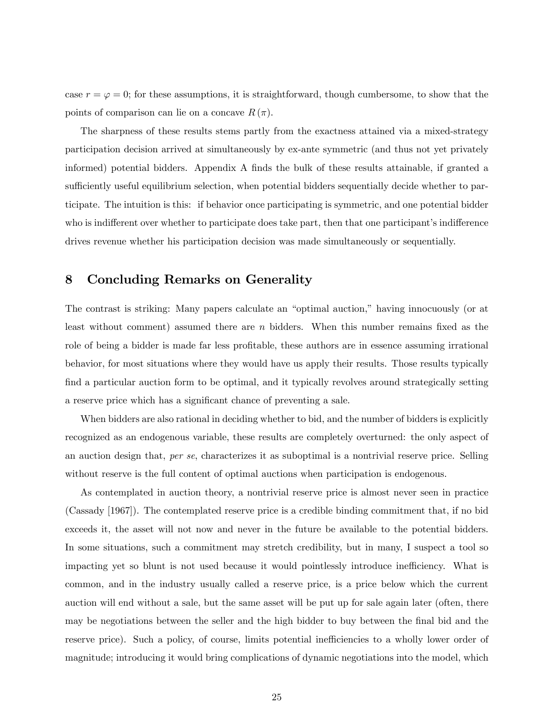case  $r = \varphi = 0$ ; for these assumptions, it is straightforward, though cumbersome, to show that the points of comparison can lie on a concave  $R(\pi)$ .

The sharpness of these results stems partly from the exactness attained via a mixed-strategy participation decision arrived at simultaneously by ex-ante symmetric (and thus not yet privately informed) potential bidders. Appendix A finds the bulk of these results attainable, if granted a sufficiently useful equilibrium selection, when potential bidders sequentially decide whether to participate. The intuition is this: if behavior once participating is symmetric, and one potential bidder who is indifferent over whether to participate does take part, then that one participant's indifference drives revenue whether his participation decision was made simultaneously or sequentially.

## 8 Concluding Remarks on Generality

The contrast is striking: Many papers calculate an "optimal auction," having innocuously (or at least without comment) assumed there are  $n$  bidders. When this number remains fixed as the role of being a bidder is made far less profitable, these authors are in essence assuming irrational behavior, for most situations where they would have us apply their results. Those results typically find a particular auction form to be optimal, and it typically revolves around strategically setting a reserve price which has a significant chance of preventing a sale.

When bidders are also rational in deciding whether to bid, and the number of bidders is explicitly recognized as an endogenous variable, these results are completely overturned: the only aspect of an auction design that, per se, characterizes it as suboptimal is a nontrivial reserve price. Selling without reserve is the full content of optimal auctions when participation is endogenous.

As contemplated in auction theory, a nontrivial reserve price is almost never seen in practice (Cassady [1967]). The contemplated reserve price is a credible binding commitment that, if no bid exceeds it, the asset will not now and never in the future be available to the potential bidders. In some situations, such a commitment may stretch credibility, but in many, I suspect a tool so impacting yet so blunt is not used because it would pointlessly introduce inefficiency. What is common, and in the industry usually called a reserve price, is a price below which the current auction will end without a sale, but the same asset will be put up for sale again later (often, there may be negotiations between the seller and the high bidder to buy between the final bid and the reserve price). Such a policy, of course, limits potential inefficiencies to a wholly lower order of magnitude; introducing it would bring complications of dynamic negotiations into the model, which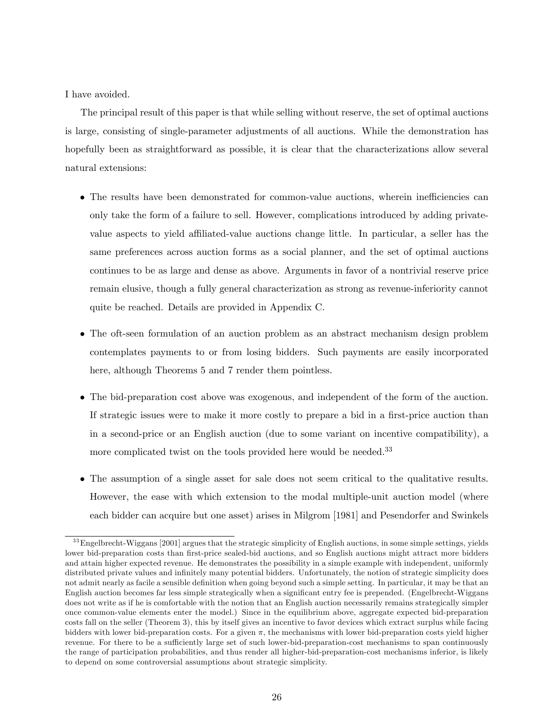I have avoided.

The principal result of this paper is that while selling without reserve, the set of optimal auctions is large, consisting of single-parameter adjustments of all auctions. While the demonstration has hopefully been as straightforward as possible, it is clear that the characterizations allow several natural extensions:

- The results have been demonstrated for common-value auctions, wherein inefficiencies can only take the form of a failure to sell. However, complications introduced by adding privatevalue aspects to yield affiliated-value auctions change little. In particular, a seller has the same preferences across auction forms as a social planner, and the set of optimal auctions continues to be as large and dense as above. Arguments in favor of a nontrivial reserve price remain elusive, though a fully general characterization as strong as revenue-inferiority cannot quite be reached. Details are provided in Appendix C.
- The oft-seen formulation of an auction problem as an abstract mechanism design problem contemplates payments to or from losing bidders. Such payments are easily incorporated here, although Theorems 5 and 7 render them pointless.
- The bid-preparation cost above was exogenous, and independent of the form of the auction. If strategic issues were to make it more costly to prepare a bid in a first-price auction than in a second-price or an English auction (due to some variant on incentive compatibility), a more complicated twist on the tools provided here would be needed.<sup>33</sup>
- The assumption of a single asset for sale does not seem critical to the qualitative results. However, the ease with which extension to the modal multiple-unit auction model (where each bidder can acquire but one asset) arises in Milgrom [1981] and Pesendorfer and Swinkels

 $33$  Engelbrecht-Wiggans [2001] argues that the strategic simplicity of English auctions, in some simple settings, yields lower bid-preparation costs than first-price sealed-bid auctions, and so English auctions might attract more bidders and attain higher expected revenue. He demonstrates the possibility in a simple example with independent, uniformly distributed private values and infinitely many potential bidders. Unfortunately, the notion of strategic simplicity does not admit nearly as facile a sensible definition when going beyond such a simple setting. In particular, it may be that an English auction becomes far less simple strategically when a significant entry fee is prepended. (Engelbrecht-Wiggans does not write as if he is comfortable with the notion that an English auction necessarily remains strategically simpler once common-value elements enter the model.) Since in the equilibrium above, aggregate expected bid-preparation costs fall on the seller (Theorem 3), this by itself gives an incentive to favor devices which extract surplus while facing bidders with lower bid-preparation costs. For a given  $\pi$ , the mechanisms with lower bid-preparation costs yield higher revenue. For there to be a sufficiently large set of such lower-bid-preparation-cost mechanisms to span continuously the range of participation probabilities, and thus render all higher-bid-preparation-cost mechanisms inferior, is likely to depend on some controversial assumptions about strategic simplicity.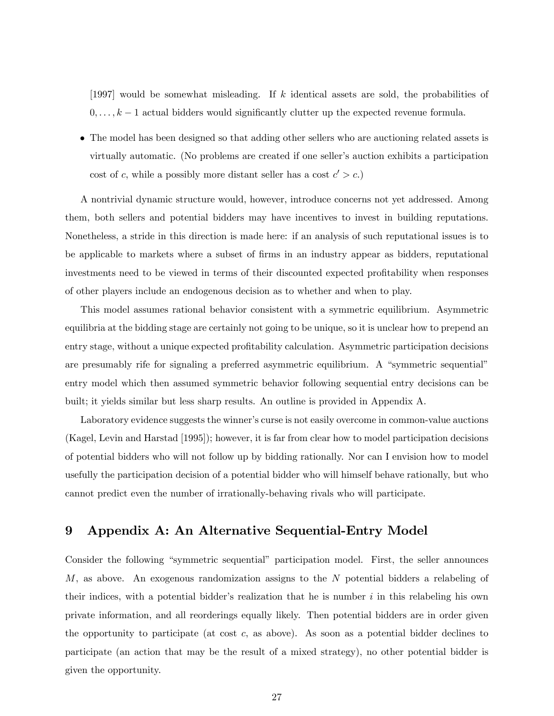[1997] would be somewhat misleading. If k identical assets are sold, the probabilities of  $0, \ldots, k-1$  actual bidders would significantly clutter up the expected revenue formula.

 The model has been designed so that adding other sellers who are auctioning related assets is virtually automatic. (No problems are created if one seller's auction exhibits a participation cost of c, while a possibly more distant seller has a cost  $c' > c$ .

A nontrivial dynamic structure would, however, introduce concerns not yet addressed. Among them, both sellers and potential bidders may have incentives to invest in building reputations. Nonetheless, a stride in this direction is made here: if an analysis of such reputational issues is to be applicable to markets where a subset of firms in an industry appear as bidders, reputational investments need to be viewed in terms of their discounted expected profitability when responses of other players include an endogenous decision as to whether and when to play.

This model assumes rational behavior consistent with a symmetric equilibrium. Asymmetric equilibria at the bidding stage are certainly not going to be unique, so it is unclear how to prepend an entry stage, without a unique expected profitability calculation. Asymmetric participation decisions are presumably rife for signaling a preferred asymmetric equilibrium. A "symmetric sequential" entry model which then assumed symmetric behavior following sequential entry decisions can be built; it yields similar but less sharp results. An outline is provided in Appendix A.

Laboratory evidence suggests the winner's curse is not easily overcome in common-value auctions (Kagel, Levin and Harstad [1995]); however, it is far from clear how to model participation decisions of potential bidders who will not follow up by bidding rationally. Nor can I envision how to model usefully the participation decision of a potential bidder who will himself behave rationally, but who cannot predict even the number of irrationally-behaving rivals who will participate.

## 9 Appendix A: An Alternative Sequential-Entry Model

Consider the following "symmetric sequential" participation model. First, the seller announces M, as above. An exogenous randomization assigns to the N potential bidders a relabeling of their indices, with a potential bidder's realization that he is number  $i$  in this relabeling his own private information, and all reorderings equally likely. Then potential bidders are in order given the opportunity to participate (at cost c, as above). As soon as a potential bidder declines to participate (an action that may be the result of a mixed strategy), no other potential bidder is given the opportunity.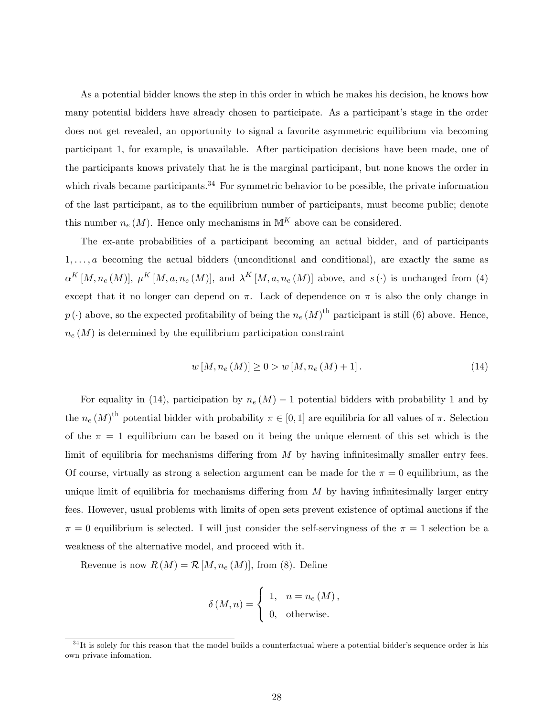As a potential bidder knows the step in this order in which he makes his decision, he knows how many potential bidders have already chosen to participate. As a participant's stage in the order does not get revealed, an opportunity to signal a favorite asymmetric equilibrium via becoming participant 1, for example, is unavailable. After participation decisions have been made, one of the participants knows privately that he is the marginal participant, but none knows the order in which rivals became participants.<sup>34</sup> For symmetric behavior to be possible, the private information of the last participant, as to the equilibrium number of participants, must become public; denote this number  $n_e(M)$ . Hence only mechanisms in  $\mathbb{M}^K$  above can be considered.

The ex-ante probabilities of a participant becoming an actual bidder, and of participants  $1, \ldots, a$  becoming the actual bidders (unconditional and conditional), are exactly the same as  $\alpha^{K}[M,n_{e}(M)], \mu^{K}[M,a,n_{e}(M)],$  and  $\lambda^{K}[M,a,n_{e}(M)]$  above, and  $s(\cdot)$  is unchanged from (4) except that it no longer can depend on  $\pi$ . Lack of dependence on  $\pi$  is also the only change in  $p(\cdot)$  above, so the expected profitability of being the  $n_e(M)$ <sup>th</sup> participant is still (6) above. Hence,  $n_e(M)$  is determined by the equilibrium participation constraint

$$
w\left[M, n_e\left(M\right)\right] \ge 0 > w\left[M, n_e\left(M\right) + 1\right].\tag{14}
$$

For equality in (14), participation by  $n_e(M) - 1$  potential bidders with probability 1 and by the  $n_e (M)$ <sup>th</sup> potential bidder with probability  $\pi \in [0, 1]$  are equilibria for all values of  $\pi$ . Selection of the  $\pi = 1$  equilibrium can be based on it being the unique element of this set which is the limit of equilibria for mechanisms differing from  $M$  by having infinitesimally smaller entry fees. Of course, virtually as strong a selection argument can be made for the  $\pi = 0$  equilibrium, as the unique limit of equilibria for mechanisms differing from  $M$  by having infinitesimally larger entry fees. However, usual problems with limits of open sets prevent existence of optimal auctions if the  $\pi = 0$  equilibrium is selected. I will just consider the self-servingness of the  $\pi = 1$  selection be a weakness of the alternative model, and proceed with it.

Revenue is now  $R(M) = \mathcal{R}[M, n_e(M)]$ , from (8). Define

$$
\delta(M, n) = \begin{cases} 1, & n = n_e(M), \\ 0, & \text{otherwise.} \end{cases}
$$

 $34$ It is solely for this reason that the model builds a counterfactual where a potential bidder's sequence order is his own private infomation.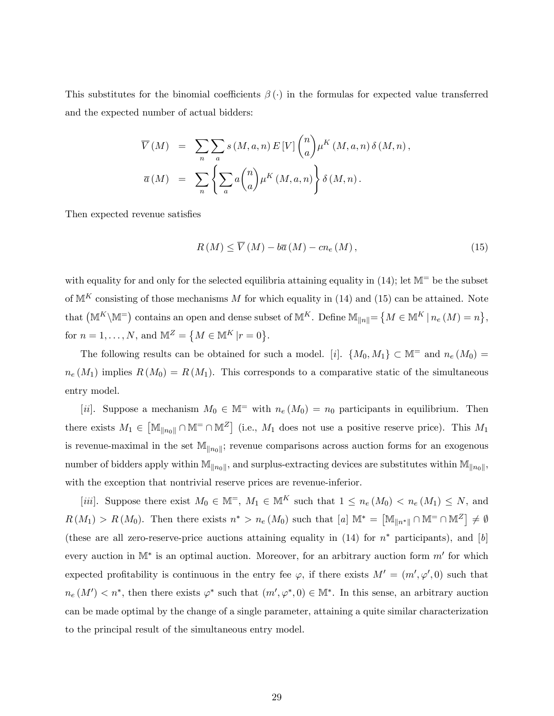This substitutes for the binomial coefficients  $\beta(\cdot)$  in the formulas for expected value transferred and the expected number of actual bidders:

$$
\overline{V}(M) = \sum_{n} \sum_{a} s(M, a, n) E[V] \binom{n}{a} \mu^{K}(M, a, n) \delta(M, n),
$$

$$
\overline{a}(M) = \sum_{n} \left\{ \sum_{a} a \binom{n}{a} \mu^{K}(M, a, n) \right\} \delta(M, n).
$$

Then expected revenue satisfies

$$
R(M) \le \overline{V}(M) - b\overline{a}(M) - cn_e(M), \qquad (15)
$$

with equality for and only for the selected equilibria attaining equality in  $(14)$ ; let  $\mathbb{M}^=$  be the subset of  $M^K$  consisting of those mechanisms M for which equality in (14) and (15) can be attained. Note that  $(M^K\backslash M^{\equiv})$  contains an open and dense subset of  $M^K$ . Define  $M_{\|n\|} = \{M \in M^K | n_e(M) = n\},\$ for  $n = 1, ..., N$ , and  $\mathbb{M}^Z = \{ M \in \mathbb{M}^K | r = 0 \}.$ 

The following results can be obtained for such a model. [i].  $\{M_0, M_1\} \subset \mathbb{M}^-$  and  $n_e(M_0)$  =  $n_e(M_1)$  implies  $R(M_0) = R(M_1)$ . This corresponds to a comparative static of the simultaneous entry model.

[ii]. Suppose a mechanism  $M_0 \in \mathbb{M}^-$  with  $n_e(M_0) = n_0$  participants in equilibrium. Then there exists  $M_1 \in [\mathbb{M}_{\|n_0\|} \cap \mathbb{M}^= \cap \mathbb{M}^Z]$  (i.e.,  $M_1$  does not use a positive reserve price). This  $M_1$ is revenue-maximal in the set  $\mathbb{M}_{\|n_0\|}$ ; revenue comparisons across auction forms for an exogenous number of bidders apply within  $\mathbb{M}_{\|n_0\|}$ , and surplus-extracting devices are substitutes within  $\mathbb{M}_{\|n_0\|}$ , with the exception that nontrivial reserve prices are revenue-inferior.

[iii]. Suppose there exist  $M_0 \in \mathbb{M}^=$ ,  $M_1 \in \mathbb{M}^K$  such that  $1 \leq n_e(M_0) < n_e(M_1) \leq N$ , and  $R(M_1) > R(M_0)$ . Then there exists  $n^* > n_e(M_0)$  such that  $[a] \mathbb{M}^* = [\mathbb{M}_{\|n^*\|} \cap \mathbb{M}^{\pm} \cap \mathbb{M}^{\mathbb{Z}}] \neq \emptyset$ (these are all zero-reserve-price auctions attaining equality in  $(14)$  for  $n^*$  participants), and [b] every auction in  $\mathbb{M}^*$  is an optimal auction. Moreover, for an arbitrary auction form  $m'$  for which expected profitability is continuous in the entry fee  $\varphi$ , if there exists  $M' = (m', \varphi', 0)$  such that  $n_e(M') < n^*$ , then there exists  $\varphi^*$  such that  $(m', \varphi^*, 0) \in M^*$ . In this sense, an arbitrary auction can be made optimal by the change of a single parameter, attaining a quite similar characterization to the principal result of the simultaneous entry model.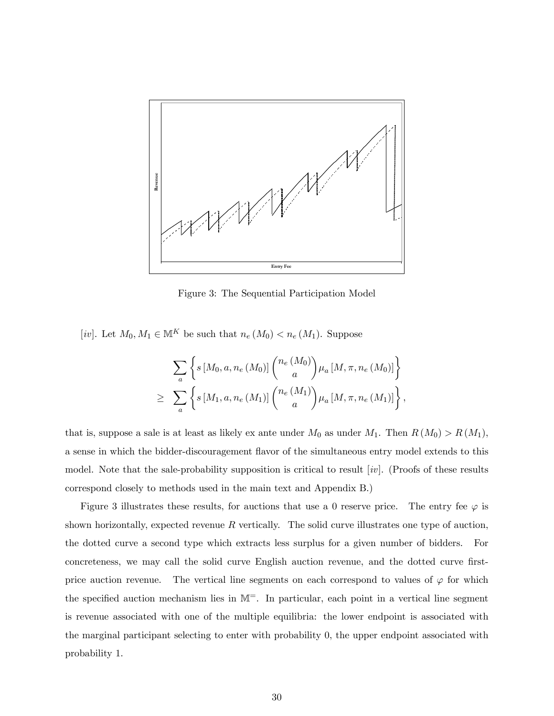

Figure 3: The Sequential Participation Model

[iv]. Let  $M_0, M_1 \in \mathbb{M}^K$  be such that  $n_e(M_0) < n_e(M_1)$ . Suppose

$$
\sum_{a} \left\{ s \left[M_0, a, n_e\left(M_0\right)\right] \binom{n_e\left(M_0\right)}{a} \mu_a \left[M, \pi, n_e\left(M_0\right)\right] \right\} \n\geq \sum_{a} \left\{ s \left[M_1, a, n_e\left(M_1\right)\right] \binom{n_e\left(M_1\right)}{a} \mu_a \left[M, \pi, n_e\left(M_1\right)\right] \right\},
$$

that is, suppose a sale is at least as likely ex ante under  $M_0$  as under  $M_1$ . Then  $R(M_0) > R(M_1)$ , a sense in which the bidder-discouragement áavor of the simultaneous entry model extends to this model. Note that the sale-probability supposition is critical to result  $(iv)$ . (Proofs of these results correspond closely to methods used in the main text and Appendix B.)

Figure 3 illustrates these results, for auctions that use a 0 reserve price. The entry fee  $\varphi$  is shown horizontally, expected revenue  $R$  vertically. The solid curve illustrates one type of auction, the dotted curve a second type which extracts less surplus for a given number of bidders. For concreteness, we may call the solid curve English auction revenue, and the dotted curve firstprice auction revenue. The vertical line segments on each correspond to values of  $\varphi$  for which the specified auction mechanism lies in  $M^=$ . In particular, each point in a vertical line segment is revenue associated with one of the multiple equilibria: the lower endpoint is associated with the marginal participant selecting to enter with probability 0, the upper endpoint associated with probability 1.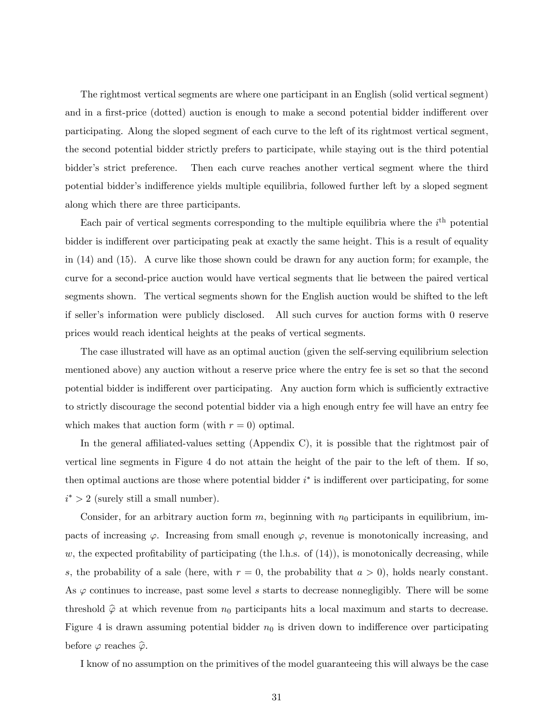The rightmost vertical segments are where one participant in an English (solid vertical segment) and in a first-price (dotted) auction is enough to make a second potential bidder indifferent over participating. Along the sloped segment of each curve to the left of its rightmost vertical segment, the second potential bidder strictly prefers to participate, while staying out is the third potential bidder's strict preference. Then each curve reaches another vertical segment where the third potential bidder's indifference yields multiple equilibria, followed further left by a sloped segment along which there are three participants.

Each pair of vertical segments corresponding to the multiple equilibria where the  $i<sup>th</sup>$  potential bidder is indifferent over participating peak at exactly the same height. This is a result of equality in (14) and (15). A curve like those shown could be drawn for any auction form; for example, the curve for a second-price auction would have vertical segments that lie between the paired vertical segments shown. The vertical segments shown for the English auction would be shifted to the left if seller's information were publicly disclosed. All such curves for auction forms with 0 reserve prices would reach identical heights at the peaks of vertical segments.

The case illustrated will have as an optimal auction (given the self-serving equilibrium selection mentioned above) any auction without a reserve price where the entry fee is set so that the second potential bidder is indifferent over participating. Any auction form which is sufficiently extractive to strictly discourage the second potential bidder via a high enough entry fee will have an entry fee which makes that auction form (with  $r = 0$ ) optimal.

In the general affiliated-values setting (Appendix C), it is possible that the rightmost pair of vertical line segments in Figure 4 do not attain the height of the pair to the left of them. If so, then optimal auctions are those where potential bidder  $i^*$  is indifferent over participating, for some  $i^* > 2$  (surely still a small number).

Consider, for an arbitrary auction form  $m$ , beginning with  $n_0$  participants in equilibrium, impacts of increasing  $\varphi$ . Increasing from small enough  $\varphi$ , revenue is monotonically increasing, and w, the expected profitability of participating (the l.h.s. of  $(14)$ ), is monotonically decreasing, while s, the probability of a sale (here, with  $r = 0$ , the probability that  $a > 0$ ), holds nearly constant. As  $\varphi$  continues to increase, past some level s starts to decrease nonnegligibly. There will be some threshold  $\hat{\varphi}$  at which revenue from  $n_0$  participants hits a local maximum and starts to decrease. Figure 4 is drawn assuming potential bidder  $n_0$  is driven down to indifference over participating before  $\varphi$  reaches  $\widehat{\varphi}$ .

I know of no assumption on the primitives of the model guaranteeing this will always be the case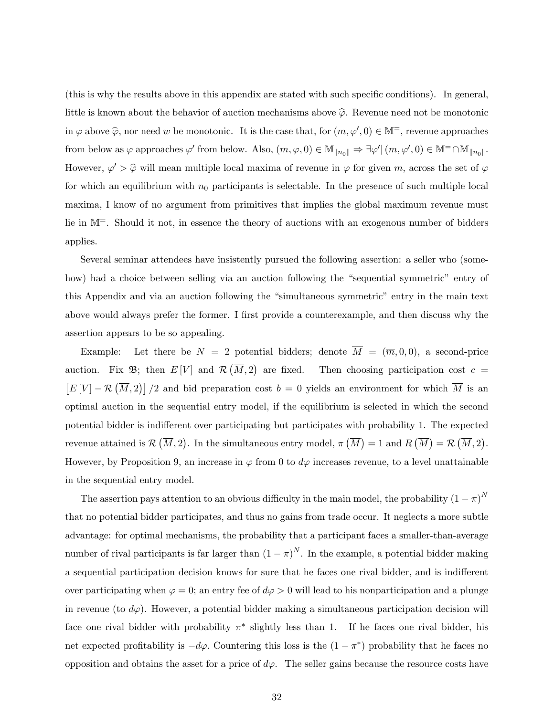(this is why the results above in this appendix are stated with such speciÖc conditions). In general, little is known about the behavior of auction mechanisms above  $\hat{\varphi}$ . Revenue need not be monotonic in  $\varphi$  above  $\widehat{\varphi}$ , nor need w be monotonic. It is the case that, for  $(m, \varphi', 0) \in \mathbb{M}^=$ , revenue approaches from below as  $\varphi$  approaches  $\varphi'$  from below. Also,  $(m, \varphi, 0) \in \mathbb{M}_{\|n_0\|} \Rightarrow \exists \varphi' | (m, \varphi', 0) \in \mathbb{M}^= \cap \mathbb{M}_{\|n_0\|}$ . However,  $\varphi' > \widehat{\varphi}$  will mean multiple local maxima of revenue in  $\varphi$  for given m, across the set of  $\varphi$ for which an equilibrium with  $n_0$  participants is selectable. In the presence of such multiple local maxima, I know of no argument from primitives that implies the global maximum revenue must lie in M=. Should it not, in essence the theory of auctions with an exogenous number of bidders applies.

Several seminar attendees have insistently pursued the following assertion: a seller who (somehow) had a choice between selling via an auction following the "sequential symmetric" entry of this Appendix and via an auction following the "simultaneous symmetric" entry in the main text above would always prefer the former. I first provide a counterexample, and then discuss why the assertion appears to be so appealing.

Example: Let there be  $N = 2$  potential bidders; denote  $\overline{M} = (\overline{m}, 0, 0)$ , a second-price auction. Fix  $\mathfrak{B}$ ; then  $E[V]$  and  $\mathcal{R}(\overline{M},2)$ Then choosing participation cost  $c =$  $[E[V] - \mathcal{R}(\overline{M},2)]/2$  and bid preparation cost  $b=0$  yields an environment for which  $\overline{M}$  is an optimal auction in the sequential entry model, if the equilibrium is selected in which the second potential bidder is indifferent over participating but participates with probability 1. The expected revenue attained is  $\mathcal{R}(\overline{M}, 2)$ . In the simultaneous entry model,  $\pi(\overline{M}) = 1$  and  $R(\overline{M}) = \mathcal{R}(\overline{M}, 2)$ . However, by Proposition 9, an increase in  $\varphi$  from 0 to  $d\varphi$  increases revenue, to a level unattainable in the sequential entry model.

The assertion pays attention to an obvious difficulty in the main model, the probability  $(1 - \pi)^N$ that no potential bidder participates, and thus no gains from trade occur. It neglects a more subtle advantage: for optimal mechanisms, the probability that a participant faces a smaller-than-average number of rival participants is far larger than  $(1 - \pi)^N$ . In the example, a potential bidder making a sequential participation decision knows for sure that he faces one rival bidder, and is indifferent over participating when  $\varphi = 0$ ; an entry fee of  $d\varphi > 0$  will lead to his nonparticipation and a plunge in revenue (to  $d\varphi$ ). However, a potential bidder making a simultaneous participation decision will face one rival bidder with probability  $\pi^*$  slightly less than 1. If he faces one rival bidder, his net expected profitability is  $-d\varphi$ . Countering this loss is the  $(1 - \pi^*)$  probability that he faces no opposition and obtains the asset for a price of  $d\varphi$ . The seller gains because the resource costs have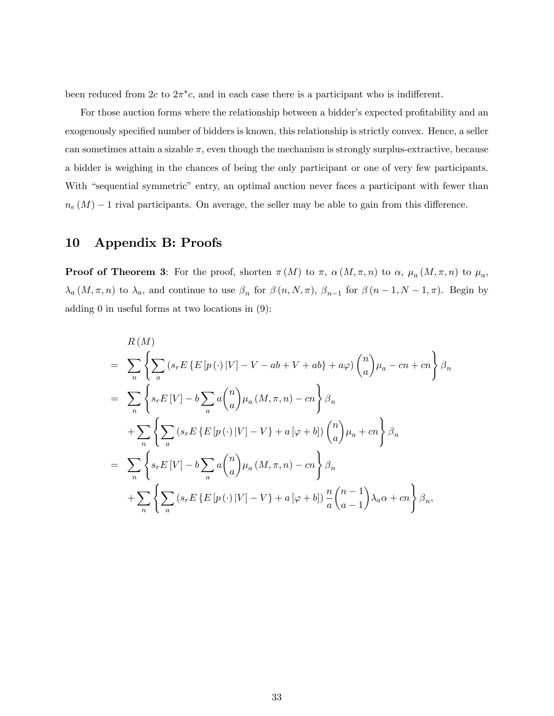been reduced from  $2c$  to  $2\pi^*c$ , and in each case there is a participant who is indifferent.

For those auction forms where the relationship between a bidder's expected profitability and an exogenously specified number of bidders is known, this relationship is strictly convex. Hence, a seller can sometimes attain a sizable  $\pi$ , even though the mechanism is strongly surplus-extractive, because a bidder is weighing in the chances of being the only participant or one of very few participants. With "sequential symmetric" entry, an optimal auction never faces a participant with fewer than  $n_e(M) - 1$  rival participants. On average, the seller may be able to gain from this difference.

## 10 Appendix B: Proofs

**Proof of Theorem 3**: For the proof, shorten  $\pi(M)$  to  $\pi$ ,  $\alpha(M,\pi,n)$  to  $\alpha$ ,  $\mu_a(M,\pi,n)$  to  $\mu_a$ ,  $\lambda_a(M,\pi,n)$  to  $\lambda_a$ , and continue to use  $\beta_n$  for  $\beta(n,N,\pi)$ ,  $\beta_{n-1}$  for  $\beta(n-1,N-1,\pi)$ . Begin by adding 0 in useful forms at two locations in (9):

$$
R(M)
$$
  
=  $\sum_{n} \left\{ \sum_{a} (s_r E \{E[p(\cdot)|V] - V - ab + V + ab\} + a\varphi) {n \choose a} \mu_a - cn + cn \right\} \beta_n$   
=  $\sum_{n} \left\{ s_r E[V] - b \sum_{a} a {n \choose a} \mu_a (M, \pi, n) - cn \right\} \beta_n$   
+  $\sum_{n} \left\{ \sum_{a} (s_r E \{E[p(\cdot)|V] - V\} + a[\varphi + b]) {n \choose a} \mu_a + cn \right\} \beta_n$   
=  $\sum_{n} \left\{ s_r E[V] - b \sum_{a} a {n \choose a} \mu_a (M, \pi, n) - cn \right\} \beta_n$   
+  $\sum_{n} \left\{ \sum_{a} (s_r E \{E[p(\cdot)|V] - V\} + a[\varphi + b]) \frac{n}{a} {n-1 \choose a-1} \lambda_a \alpha + cn \right\} \beta_n$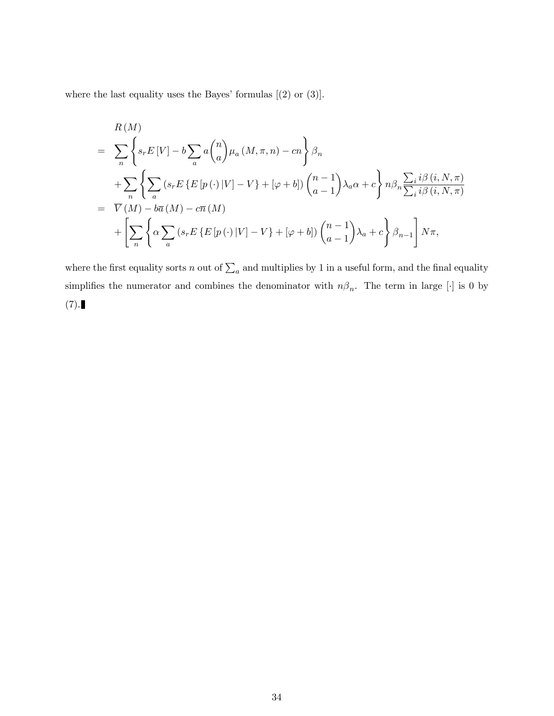where the last equality uses the Bayes' formulas  $[(2)$  or  $(3)]$ .

$$
R(M)
$$
  
=  $\sum_{n} \left\{ s_r E[V] - b \sum_{a} a{n \choose a} \mu_a (M, \pi, n) - cn \right\} \beta_n$   
+  $\sum_{n} \left\{ \sum_{a} (s_r E\{E[p(\cdot)|V] - V\} + [\varphi + b]) {n-1 \choose a-1} \lambda_a \alpha + c \right\} n \beta_n \frac{\sum_{i} i \beta(i, N, \pi)}{\sum_{i} i \beta(i, N, \pi)}$   
=  $\overline{V}(M) - b\overline{a}(M) - c\overline{n}(M)$   
+  $\left[ \sum_{n} \left\{ \alpha \sum_{a} (s_r E\{E[p(\cdot)|V] - V\} + [\varphi + b]) {n-1 \choose a-1} \lambda_a + c \right\} \beta_{n-1} \right] N\pi,$ 

where the first equality sorts n out of  $\sum_a$  and multiplies by 1 in a useful form, and the final equality simplifies the numerator and combines the denominator with  $n\beta_n$ . The term in large [.] is 0 by  $(7).$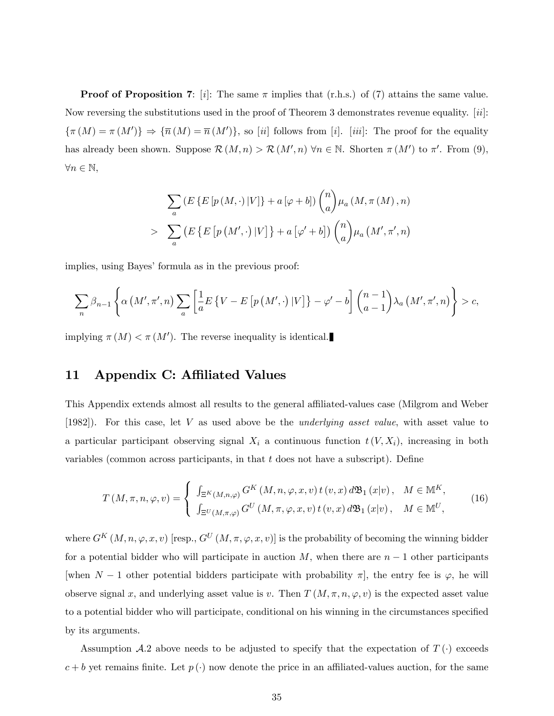**Proof of Proposition 7:** [i]: The same  $\pi$  implies that (r.h.s.) of (7) attains the same value. Now reversing the substitutions used in the proof of Theorem 3 demonstrates revenue equality. [ii]:  $\{\pi(M) = \pi(M')\} \Rightarrow \{\overline{n}(M) = \overline{n}(M')\},$  so [ii] follows from [i]. [iii]: The proof for the equality has already been shown. Suppose  $\mathcal{R}(M,n) > \mathcal{R}(M',n)$   $\forall n \in \mathbb{N}$ . Shorten  $\pi(M')$  to  $\pi'$ . From (9),  $\forall n \in \mathbb{N},$ 

$$
\sum_{a} \left( E \left\{ E \left[ p \left( M, \cdot \right) | V \right] \right\} + a \left[ \varphi + b \right] \right) {n \choose a} \mu_a \left( M, \pi \left( M \right), n \right)
$$
  
> 
$$
\sum_{a} \left( E \left\{ E \left[ p \left( M', \cdot \right) | V \right] \right\} + a \left[ \varphi' + b \right] \right) {n \choose a} \mu_a \left( M', \pi', n \right)
$$

implies, using Bayes' formula as in the previous proof:

$$
\sum_{n} \beta_{n-1} \left\{ \alpha \left( M', \pi', n \right) \sum_{a} \left[ \frac{1}{a} E \left\{ V - E \left[ p \left( M', \cdot \right) | V \right] \right\} - \varphi' - b \right] \binom{n-1}{a-1} \lambda_a \left( M', \pi', n \right) \right\} > c,
$$

implying  $\pi(M) < \pi(M')$ . The reverse inequality is identical.

## 11 Appendix C: Affiliated Values

This Appendix extends almost all results to the general affiliated-values case (Milgrom and Weber [1982]). For this case, let V as used above be the underlying asset value, with asset value to a particular participant observing signal  $X_i$  a continuous function  $t(V, X_i)$ , increasing in both variables (common across participants, in that  $t$  does not have a subscript). Define

$$
T(M,\pi,n,\varphi,v) = \begin{cases} \int_{\Xi^K(M,n,\varphi)} G^K(M,n,\varphi,x,v) t(v,x) d\mathfrak{B}_1(x|v), & M \in \mathbb{M}^K, \\ \int_{\Xi^U(M,\pi,\varphi)} G^U(M,\pi,\varphi,x,v) t(v,x) d\mathfrak{B}_1(x|v), & M \in \mathbb{M}^U, \end{cases}
$$
(16)

where  $G^K(M, n, \varphi, x, v)$  [resp.,  $G^U(M, \pi, \varphi, x, v)$ ] is the probability of becoming the winning bidder for a potential bidder who will participate in auction  $M$ , when there are  $n-1$  other participants [when  $N-1$  other potential bidders participate with probability  $\pi$ ], the entry fee is  $\varphi$ , he will observe signal x, and underlying asset value is v. Then  $T(M,\pi,n,\varphi,v)$  is the expected asset value to a potential bidder who will participate, conditional on his winning in the circumstances specified by its arguments.

Assumption A.2 above needs to be adjusted to specify that the expectation of  $T(\cdot)$  exceeds  $c + b$  yet remains finite. Let  $p(\cdot)$  now denote the price in an affiliated-values auction, for the same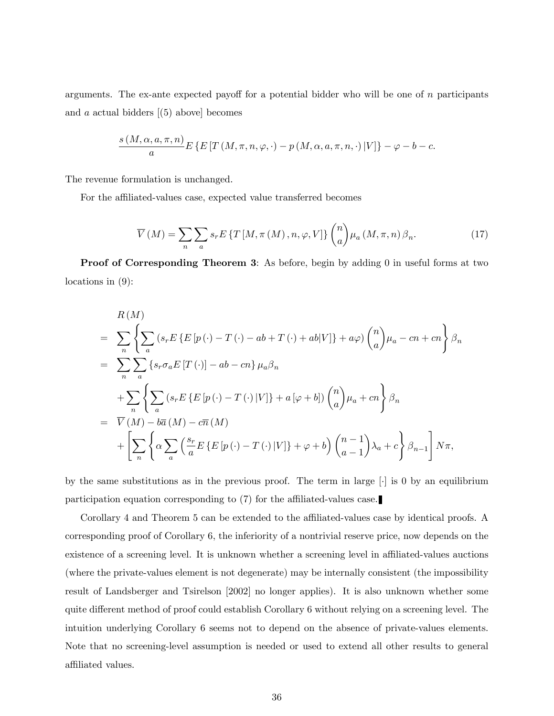arguments. The ex-ante expected payoff for a potential bidder who will be one of  $n$  participants and  $\alpha$  actual bidders  $(5)$  above] becomes

$$
\frac{s\left(M,\alpha,a,\pi,n\right)}{a}E\left\{E\left[T\left(M,\pi,n,\varphi,\cdot\right)-p\left(M,\alpha,a,\pi,n,\cdot\right)|V\right]\right\}-\varphi-b-c.
$$

The revenue formulation is unchanged.

For the affiliated-values case, expected value transferred becomes

$$
\overline{V}(M) = \sum_{n} \sum_{a} s_{r} E\left\{T\left[M, \pi\left(M\right), n, \varphi, V\right]\right\} \binom{n}{a} \mu_{a}\left(M, \pi, n\right) \beta_{n}.
$$
\n(17)

Proof of Corresponding Theorem 3: As before, begin by adding 0 in useful forms at two locations in (9):

$$
R(M)
$$
  
= 
$$
\sum_{n} \left\{ \sum_{a} (s_r E\{E[p(\cdot) - T(\cdot) - ab + T(\cdot) + ab|V]\} + a\varphi) {n \choose a} \mu_a - cn + cn \right\} \beta_n
$$
  
= 
$$
\sum_{n} \sum_{a} \left\{ s_r \sigma_a E[T(\cdot)] - ab - cn \right\} \mu_a \beta_n
$$
  
+ 
$$
\sum_{n} \left\{ \sum_{a} (s_r E\{E[p(\cdot) - T(\cdot)|V]\} + a[\varphi + b]) {n \choose a} \mu_a + cn \right\} \beta_n
$$
  
= 
$$
\overline{V}(M) - b\overline{a}(M) - c\overline{n}(M)
$$
  
+ 
$$
\left[ \sum_{n} \left\{ \alpha \sum_{a} \left( \frac{s_r}{a} E\{E[p(\cdot) - T(\cdot)|V]\} + \varphi + b \right) {n-1 \choose a-1} \lambda_a + c \right\} \beta_{n-1} \right] N\pi,
$$

by the same substitutions as in the previous proof. The term in large  $\lceil \cdot \rceil$  is 0 by an equilibrium participation equation corresponding to  $(7)$  for the affiliated-values case.

Corollary 4 and Theorem 5 can be extended to the affiliated-values case by identical proofs. A corresponding proof of Corollary 6, the inferiority of a nontrivial reserve price, now depends on the existence of a screening level. It is unknown whether a screening level in affiliated-values auctions (where the private-values element is not degenerate) may be internally consistent (the impossibility result of Landsberger and Tsirelson [2002] no longer applies). It is also unknown whether some quite different method of proof could establish Corollary 6 without relying on a screening level. The intuition underlying Corollary 6 seems not to depend on the absence of private-values elements. Note that no screening-level assumption is needed or used to extend all other results to general affiliated values.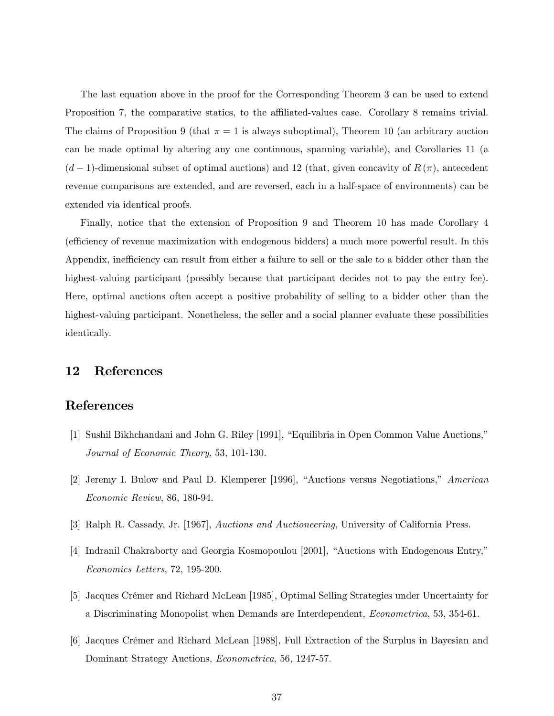The last equation above in the proof for the Corresponding Theorem 3 can be used to extend Proposition 7, the comparative statics, to the affiliated-values case. Corollary 8 remains trivial. The claims of Proposition 9 (that  $\pi = 1$  is always suboptimal), Theorem 10 (an arbitrary auction can be made optimal by altering any one continuous, spanning variable), and Corollaries 11 (a  $(d-1)$ -dimensional subset of optimal auctions) and 12 (that, given concavity of  $R(\pi)$ , antecedent revenue comparisons are extended, and are reversed, each in a half-space of environments) can be extended via identical proofs.

Finally, notice that the extension of Proposition 9 and Theorem 10 has made Corollary 4 (efficiency of revenue maximization with endogenous bidders) a much more powerful result. In this Appendix, inefficiency can result from either a failure to sell or the sale to a bidder other than the highest-valuing participant (possibly because that participant decides not to pay the entry fee). Here, optimal auctions often accept a positive probability of selling to a bidder other than the highest-valuing participant. Nonetheless, the seller and a social planner evaluate these possibilities identically.

## 12 References

## References

- [1] Sushil Bikhchandani and John G. Riley [1991], "Equilibria in Open Common Value Auctions," Journal of Economic Theory, 53, 101-130.
- [2] Jeremy I. Bulow and Paul D. Klemperer [1996], "Auctions versus Negotiations," American Economic Review, 86, 180-94.
- [3] Ralph R. Cassady, Jr. [1967], Auctions and Auctioneering, University of California Press.
- [4] Indranil Chakraborty and Georgia Kosmopoulou [2001], "Auctions with Endogenous Entry," Economics Letters, 72, 195-200.
- [5] Jacques CrÈmer and Richard McLean [1985], Optimal Selling Strategies under Uncertainty for a Discriminating Monopolist when Demands are Interdependent, Econometrica, 53, 354-61.
- [6] Jacques Crémer and Richard McLean [1988], Full Extraction of the Surplus in Bayesian and Dominant Strategy Auctions, Econometrica, 56, 1247-57.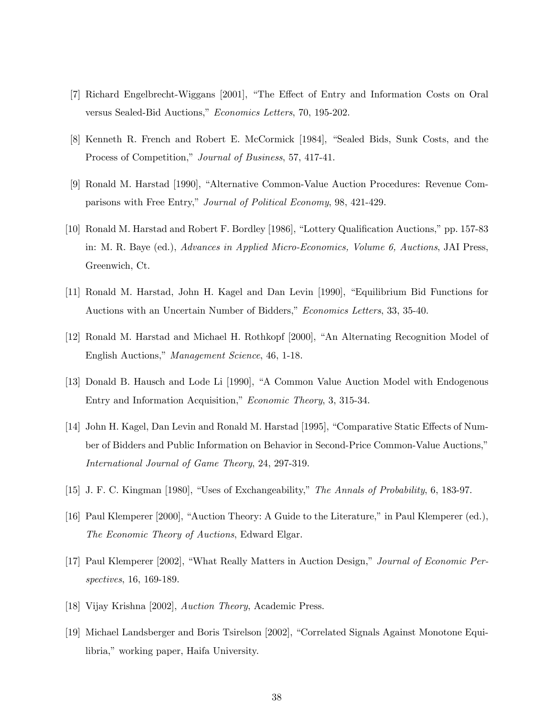- [7] Richard Engelbrecht-Wiggans [2001], "The Effect of Entry and Information Costs on Oral versus Sealed-Bid Auctions," Economics Letters, 70, 195-202.
- [8] Kenneth R. French and Robert E. McCormick [1984], "Sealed Bids, Sunk Costs, and the Process of Competition," Journal of Business, 57, 417-41.
- [9] Ronald M. Harstad [1990], "Alternative Common-Value Auction Procedures: Revenue Comparisons with Free Entry," Journal of Political Economy, 98, 421-429.
- [10] Ronald M. Harstad and Robert F. Bordley [1986], "Lottery Qualification Auctions," pp. 157-83 in: M. R. Baye (ed.), Advances in Applied Micro-Economics, Volume 6, Auctions, JAI Press, Greenwich, Ct.
- [11] Ronald M. Harstad, John H. Kagel and Dan Levin [1990], "Equilibrium Bid Functions for Auctions with an Uncertain Number of Bidders," Economics Letters, 33, 35-40.
- [12] Ronald M. Harstad and Michael H. Rothkopf [2000], "An Alternating Recognition Model of English Auctions," Management Science, 46, 1-18.
- [13] Donald B. Hausch and Lode Li [1990], "A Common Value Auction Model with Endogenous Entry and Information Acquisition," Economic Theory, 3, 315-34.
- [14] John H. Kagel, Dan Levin and Ronald M. Harstad [1995], "Comparative Static Effects of Number of Bidders and Public Information on Behavior in Second-Price Common-Value Auctions," International Journal of Game Theory, 24, 297-319.
- [15] J. F. C. Kingman [1980], "Uses of Exchangeability," The Annals of Probability, 6, 183-97.
- [16] Paul Klemperer [2000], "Auction Theory: A Guide to the Literature," in Paul Klemperer (ed.), The Economic Theory of Auctions, Edward Elgar.
- [17] Paul Klemperer [2002], "What Really Matters in Auction Design," Journal of Economic Perspectives, 16, 169-189.
- [18] Vijay Krishna [2002], Auction Theory, Academic Press.
- [19] Michael Landsberger and Boris Tsirelson [2002], "Correlated Signals Against Monotone Equilibria," working paper, Haifa University.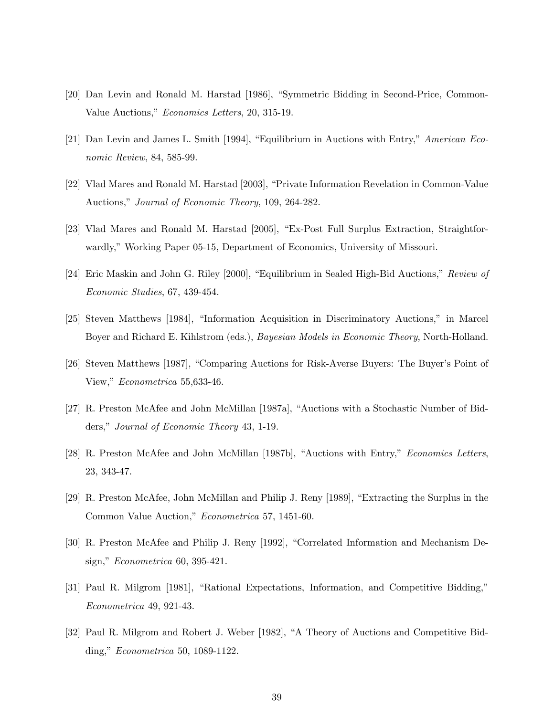- [20] Dan Levin and Ronald M. Harstad [1986], "Symmetric Bidding in Second-Price, Common-Value Auctions," Economics Letters, 20, 315-19.
- [21] Dan Levin and James L. Smith [1994], "Equilibrium in Auctions with Entry," American Economic Review, 84, 585-99.
- [22] Vlad Mares and Ronald M. Harstad [2003], "Private Information Revelation in Common-Value Auctions," Journal of Economic Theory, 109, 264-282.
- [23] Vlad Mares and Ronald M. Harstad [2005], "Ex-Post Full Surplus Extraction, Straightforwardly," Working Paper 05-15, Department of Economics, University of Missouri.
- [24] Eric Maskin and John G. Riley [2000], "Equilibrium in Sealed High-Bid Auctions," Review of Economic Studies, 67, 439-454.
- [25] Steven Matthews [1984], "Information Acquisition in Discriminatory Auctions," in Marcel Boyer and Richard E. Kihlstrom (eds.), Bayesian Models in Economic Theory, North-Holland.
- [26] Steven Matthews [1987], "Comparing Auctions for Risk-Averse Buyers: The Buyer's Point of View," Econometrica 55,633-46.
- [27] R. Preston McAfee and John McMillan [1987a], "Auctions with a Stochastic Number of Bidders," Journal of Economic Theory 43, 1-19.
- [28] R. Preston McAfee and John McMillan [1987b], "Auctions with Entry," *Economics Letters*, 23, 343-47.
- [29] R. Preston McAfee, John McMillan and Philip J. Reny [1989], "Extracting the Surplus in the Common Value Auction," Econometrica 57, 1451-60.
- [30] R. Preston McAfee and Philip J. Reny [1992], "Correlated Information and Mechanism Design,"  $Econometrica$  60, 395-421.
- [31] Paul R. Milgrom [1981], "Rational Expectations, Information, and Competitive Bidding," Econometrica 49, 921-43.
- [32] Paul R. Milgrom and Robert J. Weber [1982], "A Theory of Auctions and Competitive Bidding,"  $Econometrica$  50, 1089-1122.